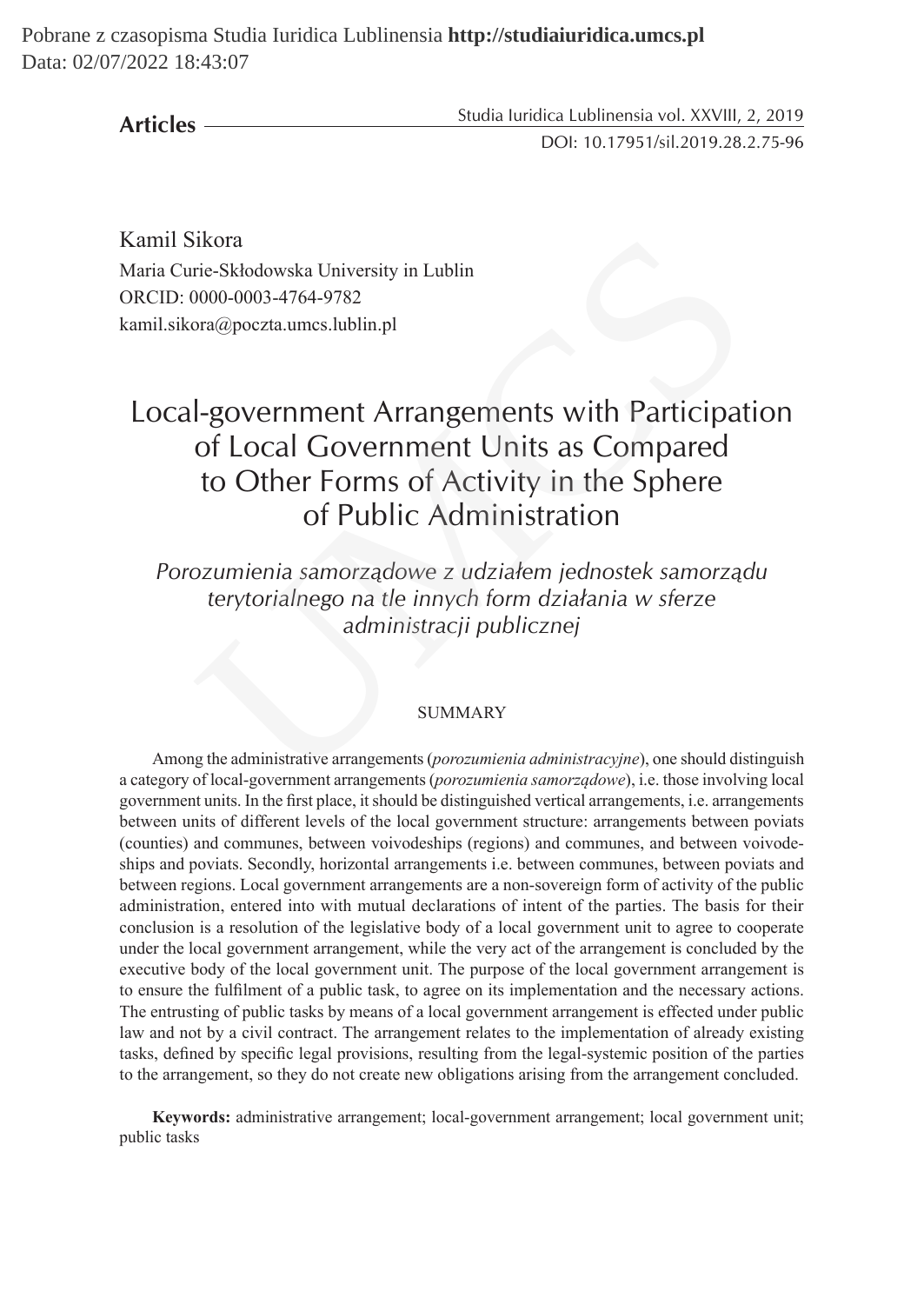Pobrane z czasopisma Studia Iuridica Lublinensia **http://studiaiuridica.umcs.pl** Data: 02/07/2022 18:43:07

**Articles**

Studia Iuridica Lublinensia vol. XXVIII, 2, 2019 DOI: 10.17951/sil.2019.28.2.75-96

Kamil Sikora Maria Curie-Skłodowska University in Lublin ORCID: 0000-0003-4764-9782 kamil.sikora@poczta.umcs.lublin.pl

# Local-government Arrangements with Participation of Local Government Units as Compared to Other Forms of Activity in the Sphere of Public Administration ikora<br>
rie-Skłodowska University in Lublin<br>
0000-0003-4764-9782<br>
ora@poczta.umss.lublin.pl<br> **|-government Arrangements with Participat**<br> **01-government Arrangements with Participat<br>
of Local Government Units as Compared<br>
t**

*Porozumienia samorządowe z udziałem jednostek samorządu terytorialnego na tle innych form działania w sferze administracji publicznej*

### SUMMARY

Among the administrative arrangements (*porozumienia administracyjne*), one should distinguish a category of local-government arrangements (*porozumienia samorządowe*), i.e. those involving local government units. In the first place, it should be distinguished vertical arrangements, i.e. arrangements between units of different levels of the local government structure: arrangements between poviats (counties) and communes, between voivodeships (regions) and communes, and between voivodeships and poviats. Secondly, horizontal arrangements i.e. between communes, between poviats and between regions. Local government arrangements are a non-sovereign form of activity of the public administration, entered into with mutual declarations of intent of the parties. The basis for their conclusion is a resolution of the legislative body of a local government unit to agree to cooperate under the local government arrangement, while the very act of the arrangement is concluded by the executive body of the local government unit. The purpose of the local government arrangement is to ensure the fulfilment of a public task, to agree on its implementation and the necessary actions. The entrusting of public tasks by means of a local government arrangement is effected under public law and not by a civil contract. The arrangement relates to the implementation of already existing tasks, defined by specific legal provisions, resulting from the legal-systemic position of the parties to the arrangement, so they do not create new obligations arising from the arrangement concluded.

**Keywords:** administrative arrangement; local-government arrangement; local government unit; public tasks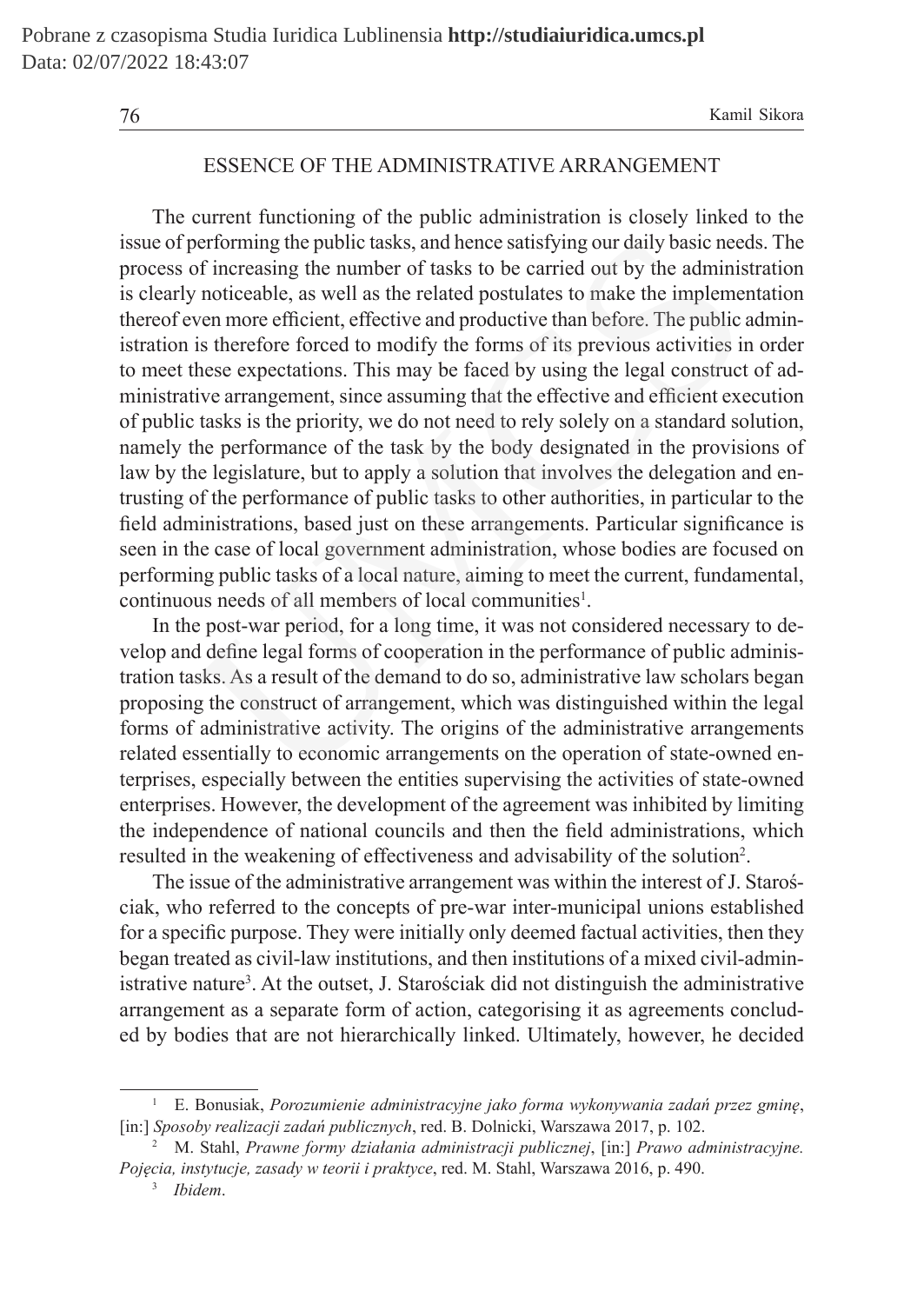# ESSENCE OF THE ADMINISTRATIVE ARRANGEMENT

The current functioning of the public administration is closely linked to the issue of performing the public tasks, and hence satisfying our daily basic needs. The process of increasing the number of tasks to be carried out by the administration is clearly noticeable, as well as the related postulates to make the implementation thereof even more efficient, effective and productive than before. The public administration is therefore forced to modify the forms of its previous activities in order to meet these expectations. This may be faced by using the legal construct of administrative arrangement, since assuming that the effective and efficient execution of public tasks is the priority, we do not need to rely solely on a standard solution, namely the performance of the task by the body designated in the provisions of law by the legislature, but to apply a solution that involves the delegation and entrusting of the performance of public tasks to other authorities, in particular to the field administrations, based just on these arrangements. Particular significance is seen in the case of local government administration, whose bodies are focused on performing public tasks of a local nature, aiming to meet the current, fundamental, continuous needs of all members of local communities<sup>1</sup>. berforming the public tasks, and hence satisfying our daily basic nees<br>of increasing the number of tasks to be carried out by the adminis<br>noticeable, as well as the related postulates to make the impleme<br>ven more efficient

In the post-war period, for a long time, it was not considered necessary to develop and define legal forms of cooperation in the performance of public administration tasks. As a result of the demand to do so, administrative law scholars began proposing the construct of arrangement, which was distinguished within the legal forms of administrative activity. The origins of the administrative arrangements related essentially to economic arrangements on the operation of state-owned enterprises, especially between the entities supervising the activities of state-owned enterprises. However, the development of the agreement was inhibited by limiting the independence of national councils and then the field administrations, which resulted in the weakening of effectiveness and advisability of the solution<sup>2</sup>.

The issue of the administrative arrangement was within the interest of J. Starościak, who referred to the concepts of pre-war inter-municipal unions established for a specific purpose. They were initially only deemed factual activities, then they began treated as civil-law institutions, and then institutions of a mixed civil-administrative nature<sup>3</sup>. At the outset, J. Starościak did not distinguish the administrative arrangement as a separate form of action, categorising it as agreements concluded by bodies that are not hierarchically linked. Ultimately, however, he decided

<sup>1</sup> E. Bonusiak, *Porozumienie administracyjne jako forma wykonywania zadań przez gminę*, [in:] *Sposoby realizacji zadań publicznych*, red. B. Dolnicki, Warszawa 2017, p. 102.

<sup>2</sup> M. Stahl, *Prawne formy działania administracji publicznej*, [in:] *Prawo administracyjne. Pojęcia, instytucje, zasady w teorii i praktyce*, red. M. Stahl, Warszawa 2016, p. 490.

<sup>3</sup> *Ibidem*.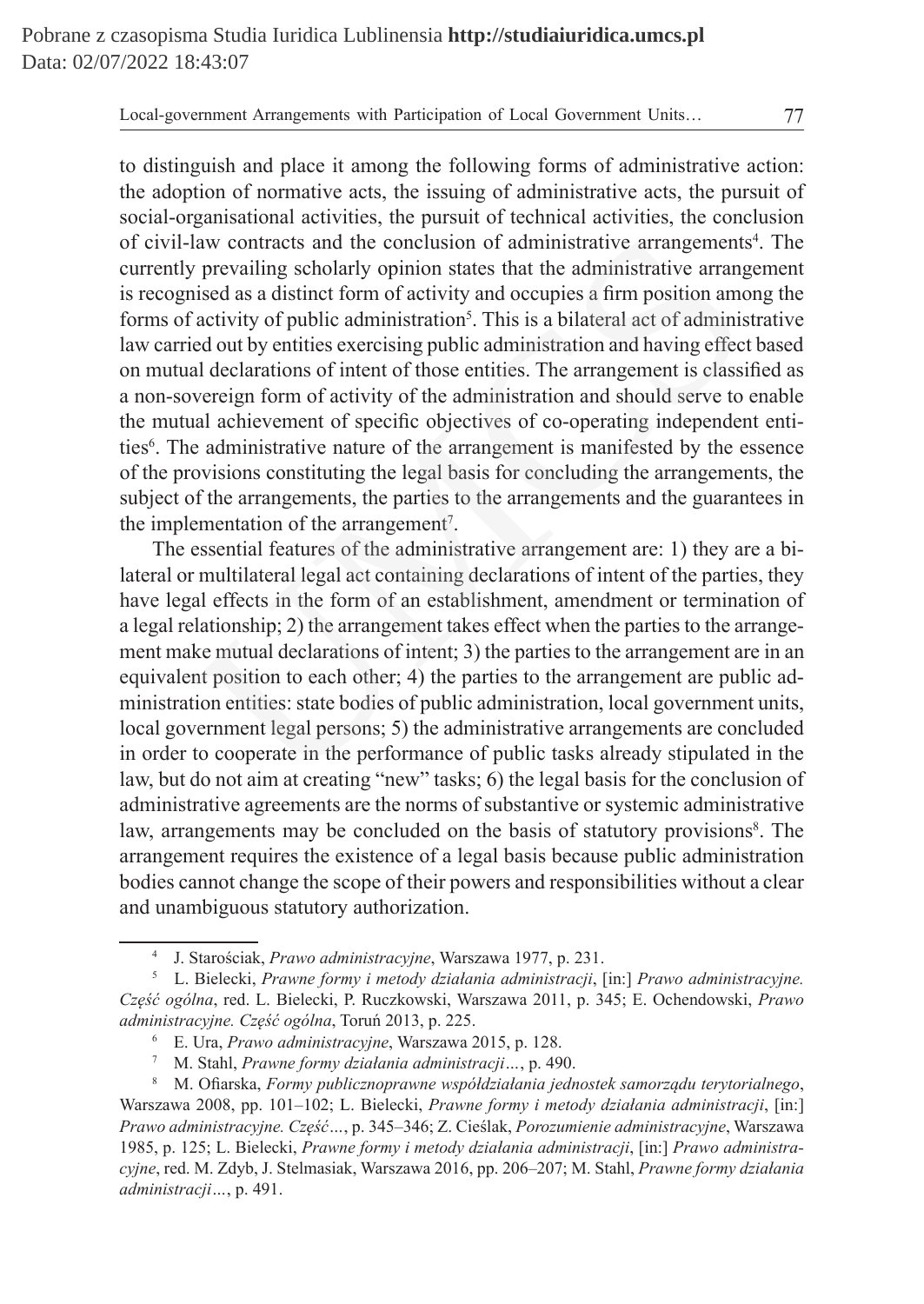to distinguish and place it among the following forms of administrative action: the adoption of normative acts, the issuing of administrative acts, the pursuit of social-organisational activities, the pursuit of technical activities, the conclusion of civil-law contracts and the conclusion of administrative arrangements<sup>4</sup>. The currently prevailing scholarly opinion states that the administrative arrangement is recognised as a distinct form of activity and occupies a firm position among the forms of activity of public administration<sup>5</sup>. This is a bilateral act of administrative law carried out by entities exercising public administration and having effect based on mutual declarations of intent of those entities. The arrangement is classified as a non-sovereign form of activity of the administration and should serve to enable the mutual achievement of specific objectives of co-operating independent entities<sup>6</sup>. The administrative nature of the arrangement is manifested by the essence of the provisions constituting the legal basis for concluding the arrangements, the subject of the arrangements, the parties to the arrangements and the guarantees in the implementation of the arrangement<sup>7</sup>. law contracts and the conclusion of administrative arrangements<br>prevailing scholarly opinion states that the administrative arrangements<br>is activity of public administration<sup>5</sup>. This is a bilateral act of adminis<br>ed out by

The essential features of the administrative arrangement are: 1) they are a bilateral or multilateral legal act containing declarations of intent of the parties, they have legal effects in the form of an establishment, amendment or termination of a legal relationship; 2) the arrangement takes effect when the parties to the arrangement make mutual declarations of intent; 3) the parties to the arrangement are in an equivalent position to each other; 4) the parties to the arrangement are public administration entities: state bodies of public administration, local government units, local government legal persons; 5) the administrative arrangements are concluded in order to cooperate in the performance of public tasks already stipulated in the law, but do not aim at creating "new" tasks; 6) the legal basis for the conclusion of administrative agreements are the norms of substantive or systemic administrative law, arrangements may be concluded on the basis of statutory provisions<sup>8</sup>. The arrangement requires the existence of a legal basis because public administration bodies cannot change the scope of their powers and responsibilities without a clear and unambiguous statutory authorization.

<sup>4</sup> J. Starościak, *Prawo administracyjne*, Warszawa 1977, p. 231.

<sup>5</sup> L. Bielecki, *Prawne formy i metody działania administracji*, [in:] *Prawo administracyjne. Część ogólna*, red. L. Bielecki, P. Ruczkowski, Warszawa 2011, p. 345; E. Ochendowski, *Prawo administracyjne. Część ogólna*, Toruń 2013, p. 225.

<sup>6</sup> E. Ura, *Prawo administracyjne*, Warszawa 2015, p. 128.

<sup>7</sup> M. Stahl, *Prawne formy działania administracji…*, p. 490.

<sup>8</sup> M. Ofiarska, *Formy publicznoprawne współdziałania jednostek samorządu terytorialnego*, Warszawa 2008, pp. 101–102; L. Bielecki, *Prawne formy i metody działania administracji*, [in:] *Prawo administracyjne. Część…*, p. 345–346; Z. Cieślak, *Porozumienie administracyjne*, Warszawa 1985, p. 125; L. Bielecki, *Prawne formy i metody działania administracji*, [in:] *Prawo administracyjne*, red. M. Zdyb, J. Stelmasiak, Warszawa 2016, pp. 206–207; M. Stahl, *Prawne formy działania administracji…*, p. 491.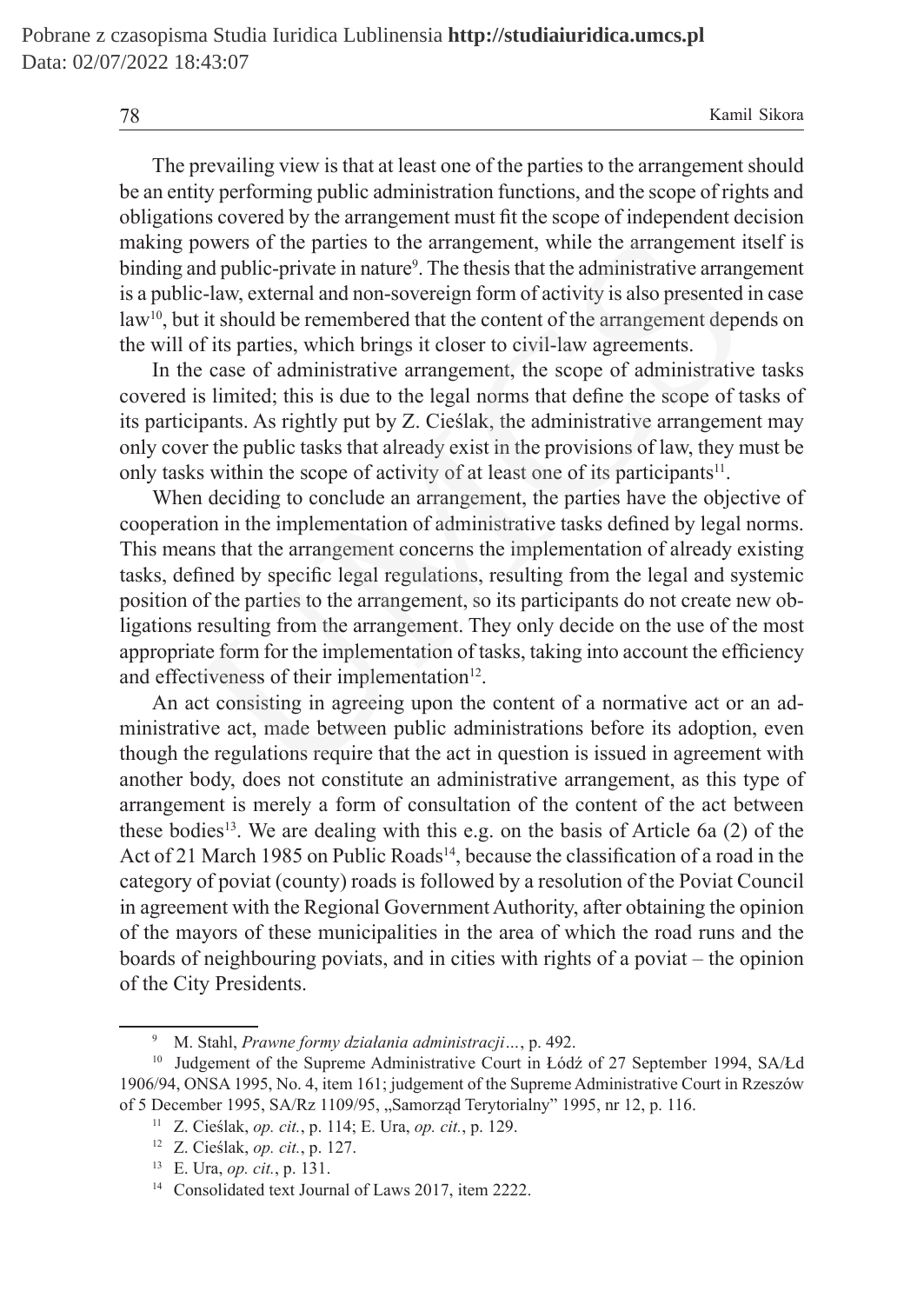The prevailing view is that at least one of the parties to the arrangement should be an entity performing public administration functions, and the scope of rights and obligations covered by the arrangement must fit the scope of independent decision making powers of the parties to the arrangement, while the arrangement itself is binding and public-private in nature<sup>9</sup>. The thesis that the administrative arrangement is a public-law, external and non-sovereign form of activity is also presented in case  $law<sup>10</sup>$ , but it should be remembered that the content of the arrangement depends on the will of its parties, which brings it closer to civil-law agreements.

In the case of administrative arrangement, the scope of administrative tasks covered is limited; this is due to the legal norms that define the scope of tasks of its participants. As rightly put by Z. Cieślak, the administrative arrangement may only cover the public tasks that already exist in the provisions of law, they must be only tasks within the scope of activity of at least one of its participants<sup>11</sup>.

When deciding to conclude an arrangement, the parties have the objective of cooperation in the implementation of administrative tasks defined by legal norms. This means that the arrangement concerns the implementation of already existing tasks, defined by specific legal regulations, resulting from the legal and systemic position of the parties to the arrangement, so its participants do not create new obligations resulting from the arrangement. They only decide on the use of the most appropriate form for the implementation of tasks, taking into account the efficiency and effectiveness of their implementation $12$ . powers of the parties to the arrangement, while the arrangement in<br>the public-private in nature<sup>9</sup>. The thesis that the administrative arrange-law, external and non-sovereign form of activity is also presented<br>it it should

An act consisting in agreeing upon the content of a normative act or an administrative act, made between public administrations before its adoption, even though the regulations require that the act in question is issued in agreement with another body, does not constitute an administrative arrangement, as this type of arrangement is merely a form of consultation of the content of the act between these bodies<sup>13</sup>. We are dealing with this e.g. on the basis of Article 6a  $(2)$  of the Act of 21 March 1985 on Public Roads<sup>14</sup>, because the classification of a road in the category of poviat (county) roads is followed by a resolution of the Poviat Council in agreement with the Regional Government Authority, after obtaining the opinion of the mayors of these municipalities in the area of which the road runs and the boards of neighbouring poviats, and in cities with rights of a poviat – the opinion of the City Presidents.

<sup>9</sup> M. Stahl, *Prawne formy działania administracji…*, p. 492.

<sup>&</sup>lt;sup>10</sup> Judgement of the Supreme Administrative Court in Łódź of 27 September 1994, SA/Łd 1906/94, ONSA 1995, No. 4, item 161; judgement of the Supreme Administrative Court in Rzeszów of 5 December 1995, SA/Rz 1109/95, "Samorząd Terytorialny" 1995, nr 12, p. 116.

<sup>11</sup> Z. Cieślak, *op. cit.*, p. 114; E. Ura, *op. cit.*, p. 129.

<sup>12</sup> Z. Cieślak, *op. cit.*, p. 127.

<sup>13</sup> E. Ura, *op. cit.*, p. 131.

<sup>&</sup>lt;sup>14</sup> Consolidated text Journal of Laws 2017, item 2222.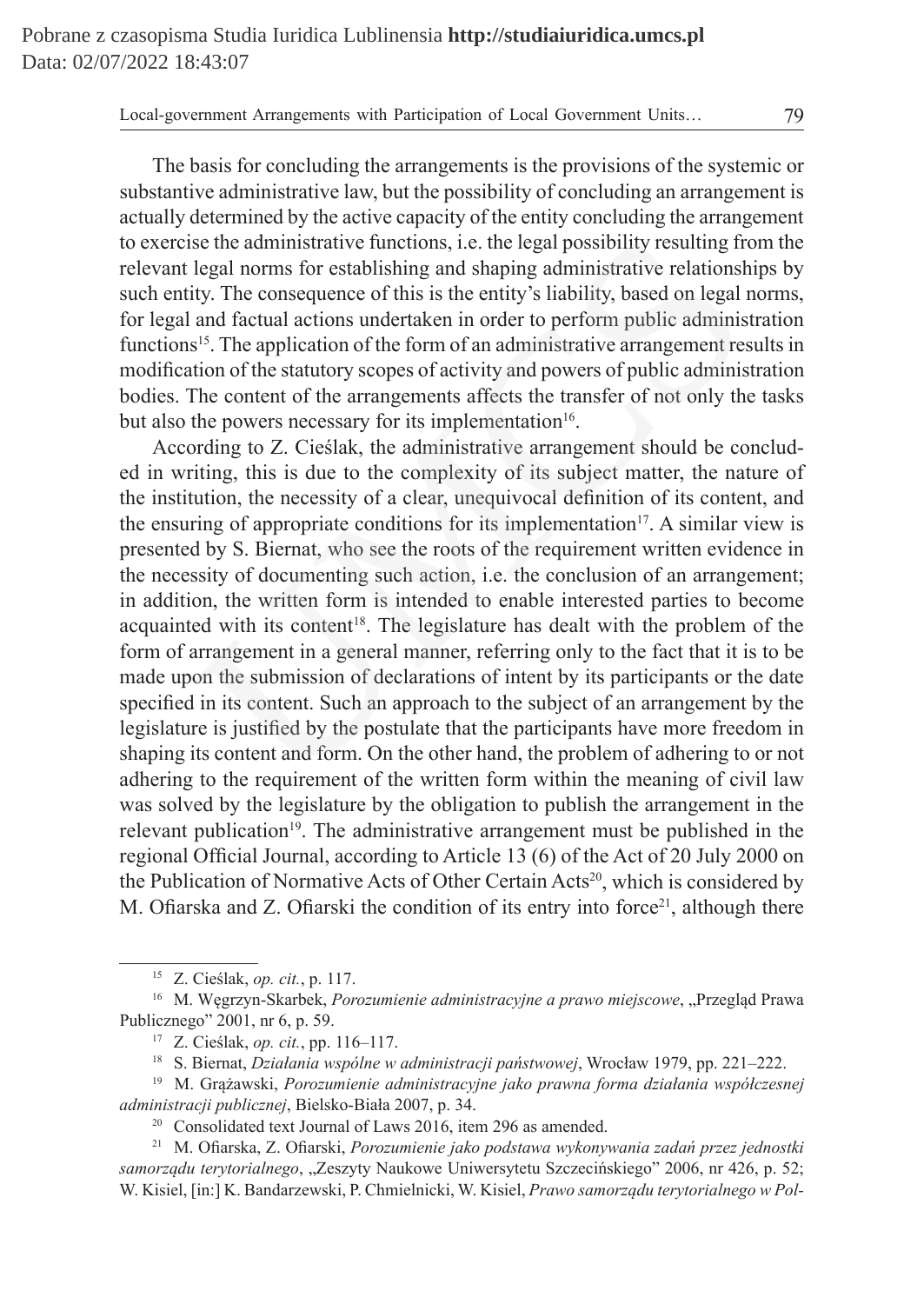The basis for concluding the arrangements is the provisions of the systemic or substantive administrative law, but the possibility of concluding an arrangement is actually determined by the active capacity of the entity concluding the arrangement to exercise the administrative functions, i.e. the legal possibility resulting from the relevant legal norms for establishing and shaping administrative relationships by such entity. The consequence of this is the entity's liability, based on legal norms, for legal and factual actions undertaken in order to perform public administration functions<sup>15</sup>. The application of the form of an administrative arrangement results in modification of the statutory scopes of activity and powers of public administration bodies. The content of the arrangements affects the transfer of not only the tasks but also the powers necessary for its implementation<sup>16</sup>.

According to Z. Cieślak, the administrative arrangement should be concluded in writing, this is due to the complexity of its subject matter, the nature of the institution, the necessity of a clear, unequivocal definition of its content, and the ensuring of appropriate conditions for its implementation<sup>17</sup>. A similar view is presented by S. Biernat, who see the roots of the requirement written evidence in the necessity of documenting such action, i.e. the conclusion of an arrangement; in addition, the written form is intended to enable interested parties to become acquainted with its content<sup>18</sup>. The legislature has dealt with the problem of the form of arrangement in a general manner, referring only to the fact that it is to be made upon the submission of declarations of intent by its participants or the date specified in its content. Such an approach to the subject of an arrangement by the legislature is justified by the postulate that the participants have more freedom in shaping its content and form. On the other hand, the problem of adhering to or not adhering to the requirement of the written form within the meaning of civil law was solved by the legislature by the obligation to publish the arrangement in the relevant publication<sup>19</sup>. The administrative arrangement must be published in the regional Official Journal, according to Article 13 (6) of the Act of 20 July 2000 on the Publication of Normative Acts of Other Certain Acts<sup>20</sup>, which is considered by M. Ofiarska and Z. Ofiarski the condition of its entry into force<sup>21</sup>, although there se the administrative functions, i.e. the legal possibility resulting fr<br>legal norms for establishing and shaping administrative relations<br>tity. The consequence of this is the entity's liability, based on legal and<br>factual

<sup>15</sup> Z. Cieślak, *op. cit.*, p. 117.

<sup>&</sup>lt;sup>16</sup> M. Węgrzyn-Skarbek, *Porozumienie administracyjne a prawo miejscowe*, "Przegląd Prawa Publicznego" 2001, nr 6, p. 59.

<sup>17</sup> Z. Cieślak, *op. cit.*, pp. 116–117.

<sup>18</sup> S. Biernat, *Działania wspólne w administracji państwowej*, Wrocław 1979, pp. 221–222.

<sup>19</sup> M. Grążawski, *Porozumienie administracyjne jako prawna forma działania współczesnej administracji publicznej*, Bielsko-Biała 2007, p. 34.

<sup>&</sup>lt;sup>20</sup> Consolidated text Journal of Laws 2016, item 296 as amended.

<sup>21</sup> M. Ofiarska, Z. Ofiarski, *Porozumienie jako podstawa wykonywania zadań przez jednostki samorządu terytorialnego*, "Zeszyty Naukowe Uniwersytetu Szczecińskiego" 2006, nr 426, p. 52; W. Kisiel, [in:] K. Bandarzewski, P. Chmielnicki, W. Kisiel, *Prawo samorządu terytorialnego w Pol-*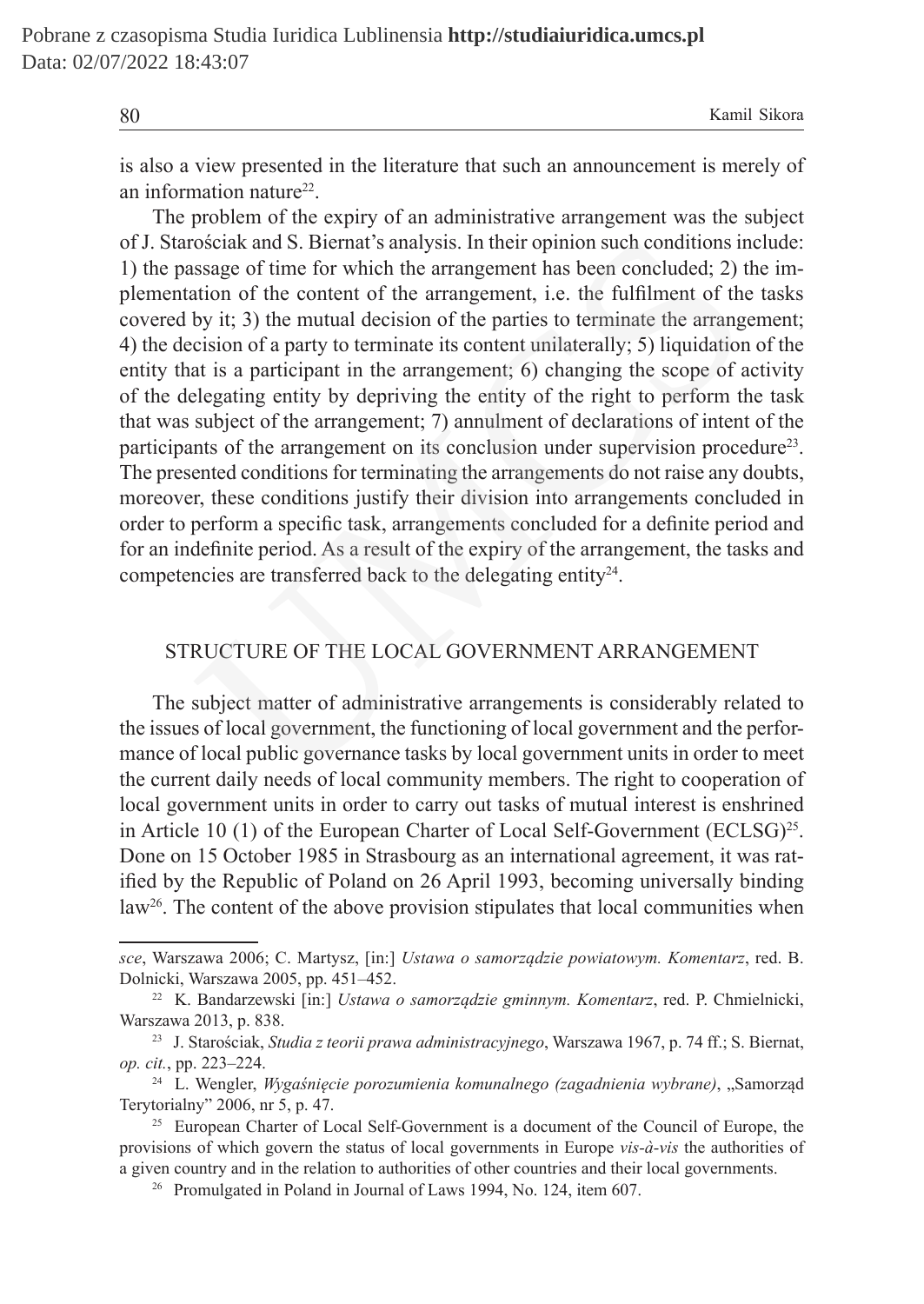is also a view presented in the literature that such an announcement is merely of an information nature<sup>22</sup>.

The problem of the expiry of an administrative arrangement was the subject of J. Starościak and S. Biernat's analysis. In their opinion such conditions include: 1) the passage of time for which the arrangement has been concluded; 2) the implementation of the content of the arrangement, i.e. the fulfilment of the tasks covered by it; 3) the mutual decision of the parties to terminate the arrangement; 4) the decision of a party to terminate its content unilaterally; 5) liquidation of the entity that is a participant in the arrangement; 6) changing the scope of activity of the delegating entity by depriving the entity of the right to perform the task that was subject of the arrangement; 7) annulment of declarations of intent of the participants of the arrangement on its conclusion under supervision procedure23. The presented conditions for terminating the arrangements do not raise any doubts, moreover, these conditions justify their division into arrangements concluded in order to perform a specific task, arrangements concluded for a definite period and for an indefinite period. As a result of the expiry of the arrangement, the tasks and competencies are transferred back to the delegating entity $24$ . rościak and S. Biernat's analysis. In their opinion such conditions ir<br>sissage of time for which the arrangement has been concluded; 2) t<br>ation of the content of the arrangement, i.e. the fulfilment of the<br>by it; 3) the m

# STRUCTURE OF THE LOCAL GOVERNMENT ARRANGEMENT

The subject matter of administrative arrangements is considerably related to the issues of local government, the functioning of local government and the performance of local public governance tasks by local government units in order to meet the current daily needs of local community members. The right to cooperation of local government units in order to carry out tasks of mutual interest is enshrined in Article 10 (1) of the European Charter of Local Self-Government (ECLSG)<sup>25</sup>. Done on 15 October 1985 in Strasbourg as an international agreement, it was ratified by the Republic of Poland on 26 April 1993, becoming universally binding  $law<sup>26</sup>$ . The content of the above provision stipulates that local communities when

*sce*, Warszawa 2006; C. Martysz, [in:] *Ustawa o samorządzie powiatowym. Komentarz*, red. B. Dolnicki, Warszawa 2005, pp. 451–452.

<sup>22</sup> K. Bandarzewski [in:] *Ustawa o samorządzie gminnym. Komentarz*, red. P. Chmielnicki, Warszawa 2013, p. 838.

<sup>23</sup> J. Starościak, *Studia z teorii prawa administracyjnego*, Warszawa 1967, p. 74 ff.; S. Biernat, *op. cit.*, pp. 223–224.

<sup>&</sup>lt;sup>24</sup> L. Wengler, *Wygaśnięcie porozumienia komunalnego (zagadnienia wybrane)*, "Samorząd Terytorialny" 2006, nr 5, p. 47.

<sup>&</sup>lt;sup>25</sup> European Charter of Local Self-Government is a document of the Council of Europe, the provisions of which govern the status of local governments in Europe *vis-à-vis* the authorities of a given country and in the relation to authorities of other countries and their local governments.

<sup>26</sup> Promulgated in Poland in Journal of Laws 1994, No. 124, item 607.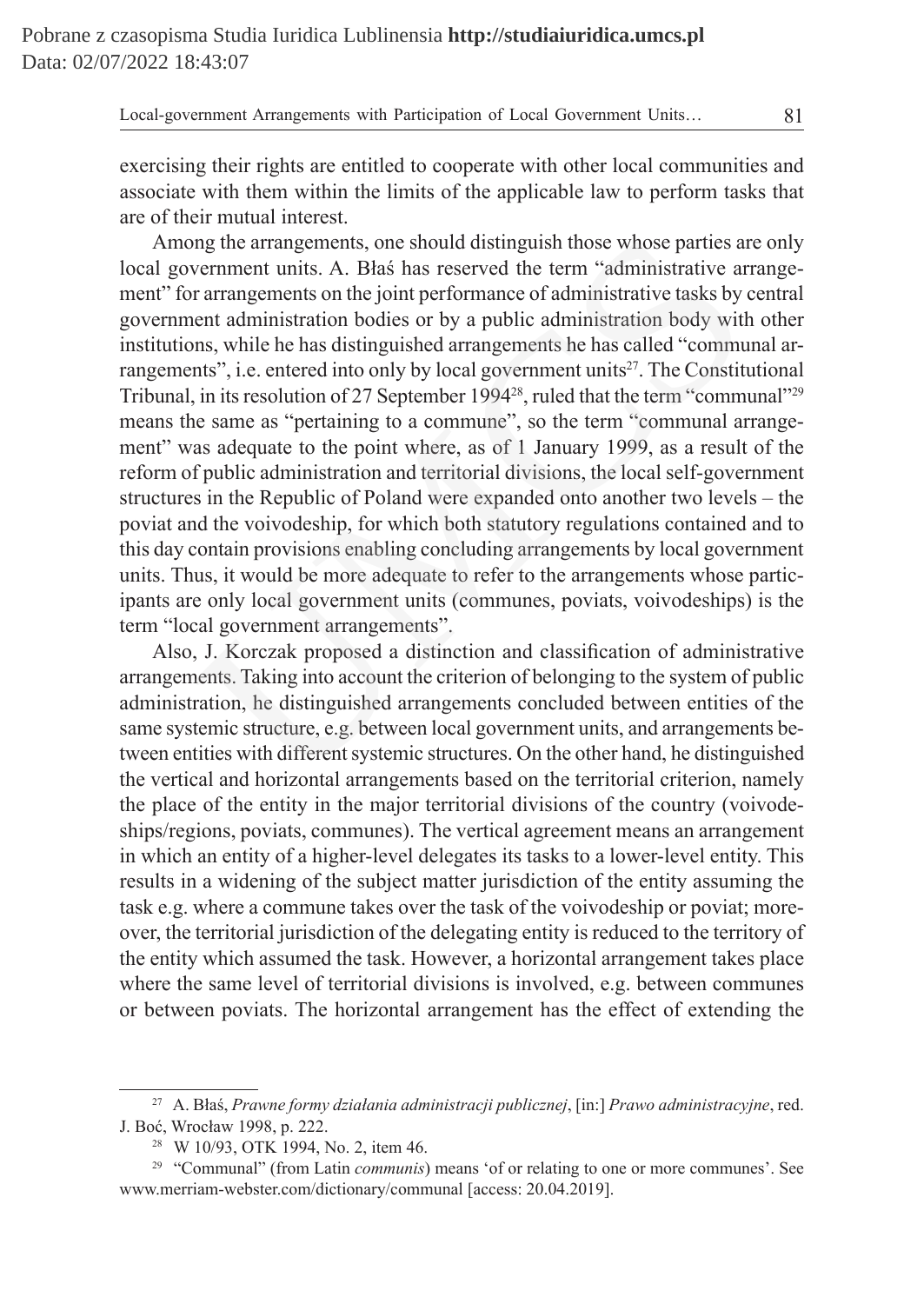exercising their rights are entitled to cooperate with other local communities and associate with them within the limits of the applicable law to perform tasks that are of their mutual interest.

Among the arrangements, one should distinguish those whose parties are only local government units. A. Błaś has reserved the term "administrative arrangement" for arrangements on the joint performance of administrative tasks by central government administration bodies or by a public administration body with other institutions, while he has distinguished arrangements he has called "communal arrangements", i.e. entered into only by local government units $2^7$ . The Constitutional Tribunal, in its resolution of 27 September 1994<sup>28</sup>, ruled that the term "communal"<sup>29</sup> means the same as "pertaining to a commune", so the term "communal arrangement" was adequate to the point where, as of 1 January 1999, as a result of the reform of public administration and territorial divisions, the local self-government structures in the Republic of Poland were expanded onto another two levels – the poviat and the voivodeship, for which both statutory regulations contained and to this day contain provisions enabling concluding arrangements by local government units. Thus, it would be more adequate to refer to the arrangements whose participants are only local government units (communes, poviats, voivodeships) is the term "local government arrangements". or and marific scheme to the community. A. Blas has reserved the term "administrative are andministrative are arrangements on the joint performance of administrative tasks by year arrangements on the joint performance of a

Also, J. Korczak proposed a distinction and classification of administrative arrangements. Taking into account the criterion of belonging to the system of public administration, he distinguished arrangements concluded between entities of the same systemic structure, e.g. between local government units, and arrangements between entities with different systemic structures. On the other hand, he distinguished the vertical and horizontal arrangements based on the territorial criterion, namely the place of the entity in the major territorial divisions of the country (voivodeships/regions, poviats, communes). The vertical agreement means an arrangement in which an entity of a higher-level delegates its tasks to a lower-level entity. This results in a widening of the subject matter jurisdiction of the entity assuming the task e.g. where a commune takes over the task of the voivodeship or poviat; moreover, the territorial jurisdiction of the delegating entity is reduced to the territory of the entity which assumed the task. However, a horizontal arrangement takes place where the same level of territorial divisions is involved, e.g. between communes or between poviats. The horizontal arrangement has the effect of extending the

<sup>27</sup> A. Błaś, *Prawne formy działania administracji publicznej*, [in:] *Prawo administracyjne*, red. J. Boć, Wrocław 1998, p. 222.

<sup>28</sup> W 10/93, OTK 1994, No. 2, item 46.

<sup>29</sup> "Communal" (from Latin *communis*) means 'of or relating to one or more communes'. See www.merriam-webster.com/dictionary/communal [access: 20.04.2019].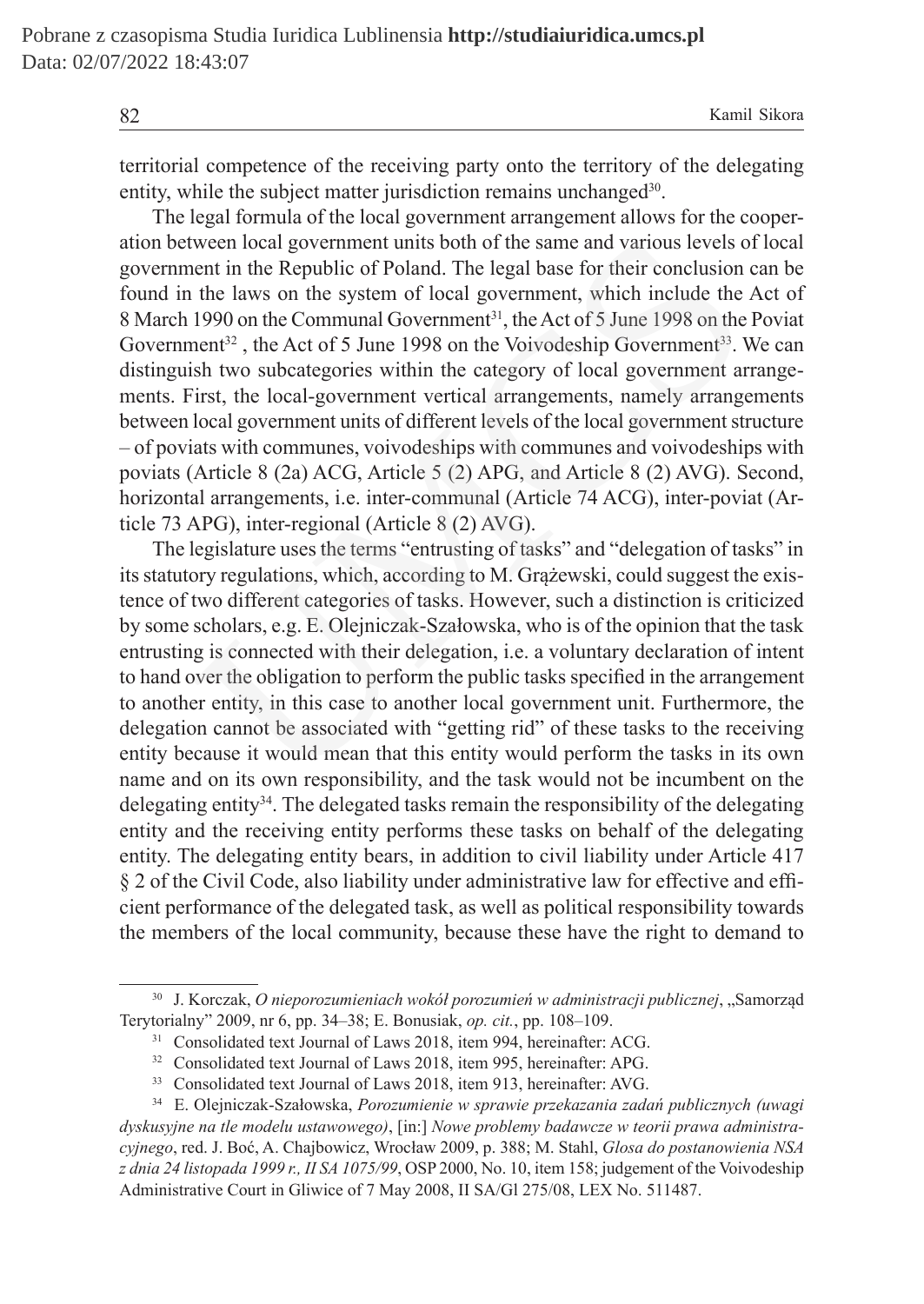territorial competence of the receiving party onto the territory of the delegating entity, while the subject matter jurisdiction remains unchanged<sup>30</sup>.

The legal formula of the local government arrangement allows for the cooperation between local government units both of the same and various levels of local government in the Republic of Poland. The legal base for their conclusion can be found in the laws on the system of local government, which include the Act of 8 March 1990 on the Communal Government<sup>31</sup>, the Act of 5 June 1998 on the Poviat Government<sup>32</sup>, the Act of 5 June 1998 on the Voivodeship Government<sup>33</sup>. We can distinguish two subcategories within the category of local government arrangements. First, the local-government vertical arrangements, namely arrangements between local government units of different levels of the local government structure – of poviats with communes, voivodeships with communes and voivodeships with poviats (Article 8 (2a) ACG, Article 5 (2) APG, and Article 8 (2) AVG). Second, horizontal arrangements, i.e. inter-communal (Article 74 ACG), inter-poviat (Article 73 APG), inter-regional (Article 8 (2) AVG). ween local government units both of the same and various levels comet in the Republic of Poland. The legal base for their conclusion the laws on the System of local government<sup>31</sup>, the Act of 5 June 1998 on the Voivodeship

The legislature uses the terms "entrusting of tasks" and "delegation of tasks" in its statutory regulations, which, according to M. Grążewski, could suggest the existence of two different categories of tasks. However, such a distinction is criticized by some scholars, e.g. E. Olejniczak-Szałowska, who is of the opinion that the task entrusting is connected with their delegation, i.e. a voluntary declaration of intent to hand over the obligation to perform the public tasks specified in the arrangement to another entity, in this case to another local government unit. Furthermore, the delegation cannot be associated with "getting rid" of these tasks to the receiving entity because it would mean that this entity would perform the tasks in its own name and on its own responsibility, and the task would not be incumbent on the delegating entity<sup>34</sup>. The delegated tasks remain the responsibility of the delegating entity and the receiving entity performs these tasks on behalf of the delegating entity. The delegating entity bears, in addition to civil liability under Article 417 § 2 of the Civil Code, also liability under administrative law for effective and efficient performance of the delegated task, as well as political responsibility towards the members of the local community, because these have the right to demand to

<sup>30</sup> J. Korczak, *O nieporozumieniach wokół porozumień w administracji publicznej*, "Samorząd Terytorialny" 2009, nr 6, pp. 34–38; E. Bonusiak, *op. cit.*, pp. 108–109.

<sup>&</sup>lt;sup>31</sup> Consolidated text Journal of Laws 2018, item 994, hereinafter: ACG.

<sup>&</sup>lt;sup>32</sup> Consolidated text Journal of Laws 2018, item 995, hereinafter: APG.

<sup>&</sup>lt;sup>33</sup> Consolidated text Journal of Laws 2018, item 913, hereinafter: AVG.

<sup>34</sup> E. Olejniczak-Szałowska, *Porozumienie w sprawie przekazania zadań publicznych (uwagi dyskusyjne na tle modelu ustawowego)*, [in:] *Nowe problemy badawcze w teorii prawa administracyjnego*, red. J. Boć, A. Chajbowicz, Wrocław 2009, p. 388; M. Stahl, *Glosa do postanowienia NSA z dnia 24 listopada 1999 r., II SA 1075/99*, OSP 2000, No. 10, item 158; judgement of the Voivodeship Administrative Court in Gliwice of 7 May 2008, II SA/Gl 275/08, LEX No. 511487.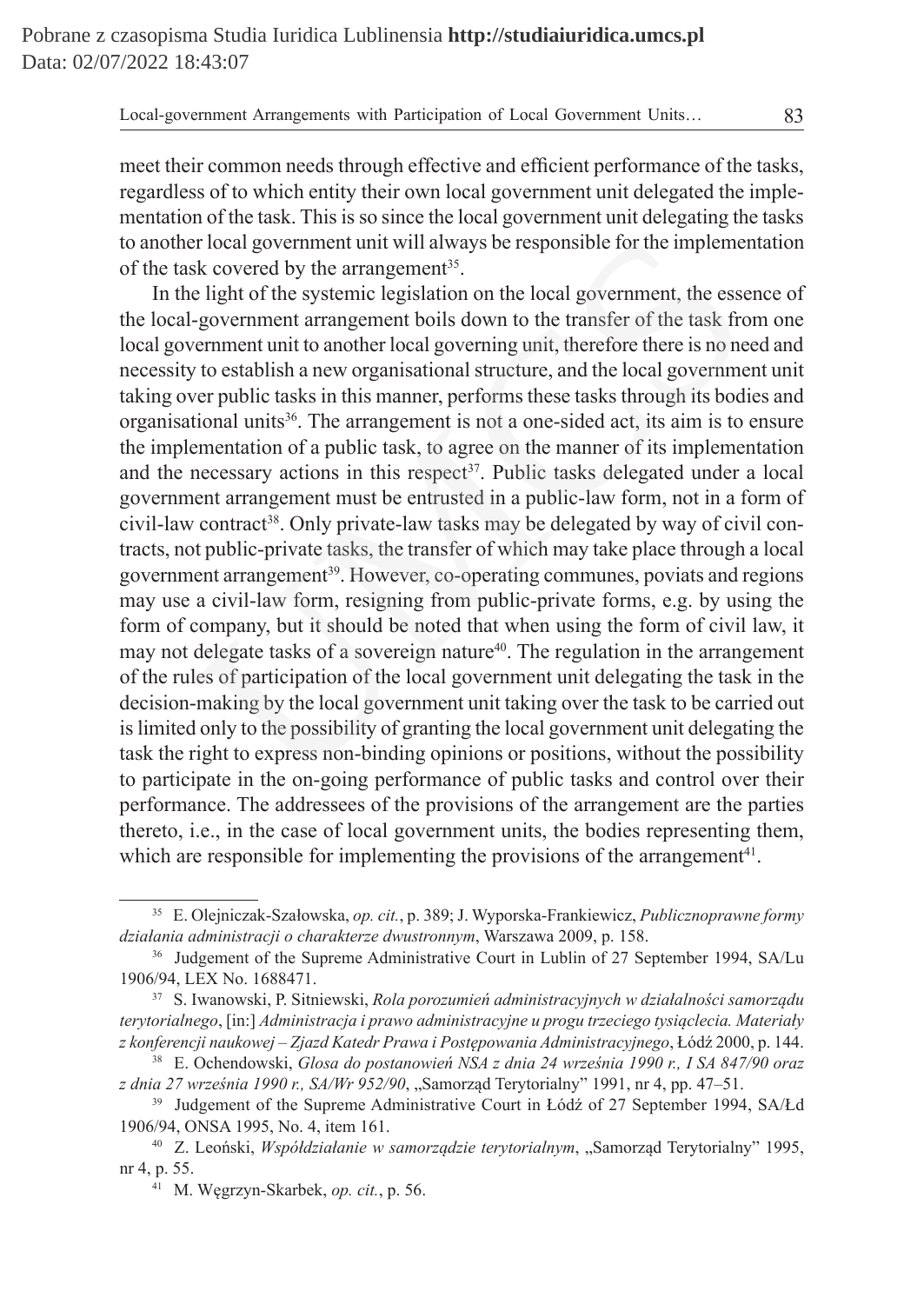meet their common needs through effective and efficient performance of the tasks, regardless of to which entity their own local government unit delegated the implementation of the task. This is so since the local government unit delegating the tasks to another local government unit will always be responsible for the implementation of the task covered by the arrangement<sup>35</sup>.

In the light of the systemic legislation on the local government, the essence of the local-government arrangement boils down to the transfer of the task from one local government unit to another local governing unit, therefore there is no need and necessity to establish a new organisational structure, and the local government unit taking over public tasks in this manner, performs these tasks through its bodies and organisational units<sup>36</sup>. The arrangement is not a one-sided act, its aim is to ensure the implementation of a public task, to agree on the manner of its implementation and the necessary actions in this respect<sup>37</sup>. Public tasks delegated under a local government arrangement must be entrusted in a public-law form, not in a form of civil-law contract<sup>38</sup>. Only private-law tasks may be delegated by way of civil contracts, not public-private tasks, the transfer of which may take place through a local government arrangement<sup>39</sup>. However, co-operating communes, poviats and regions may use a civil-law form, resigning from public-private forms, e.g. by using the form of company, but it should be noted that when using the form of civil law, it may not delegate tasks of a sovereign nature<sup>40</sup>. The regulation in the arrangement of the rules of participation of the local government unit delegating the task in the decision-making by the local government unit taking over the task to be carried out is limited only to the possibility of granting the local government unit delegating the task the right to express non-binding opinions or positions, without the possibility to participate in the on-going performance of public tasks and control over their performance. The addressees of the provisions of the arrangement are the parties thereto, i.e., in the case of local government units, the bodies representing them, which are responsible for implementing the provisions of the arrangement<sup>41</sup>. is a covernment unit will always be responsible for the implement<br>
elight of the systemic legislation on the local government, the esse-<br>
elight of the systemic legislation on the local government, the esse<br>
elight of the

<sup>35</sup> E. Olejniczak-Szałowska, *op. cit.*, p. 389; J. Wyporska-Frankiewicz, *Publicznoprawne formy działania administracji o charakterze dwustronnym*, Warszawa 2009, p. 158.

<sup>&</sup>lt;sup>36</sup> Judgement of the Supreme Administrative Court in Lublin of 27 September 1994, SA/Lu 1906/94, LEX No. 1688471.

<sup>37</sup> S. Iwanowski, P. Sitniewski, *Rola porozumień administracyjnych w działalności samorządu terytorialnego*, [in:] *Administracja i prawo administracyjne u progu trzeciego tysiąclecia. Materiały z konferencji naukowej – Zjazd Katedr Prawa i Postępowania Administracyjnego*, Łódź 2000, p. 144.

<sup>38</sup> E. Ochendowski, *Glosa do postanowień NSA z dnia 24 września 1990 r., I SA 847/90 oraz z dnia 27 września 1990 r., SA/Wr 952/90*, "Samorząd Terytorialny" 1991, nr 4, pp. 47–51.

<sup>&</sup>lt;sup>39</sup> Judgement of the Supreme Administrative Court in Łódź of 27 September 1994, SA/Łd 1906/94, ONSA 1995, No. 4, item 161.

<sup>&</sup>lt;sup>40</sup> Z. Leoński, *Współdziałanie w samorządzie terytorialnym*, "Samorząd Terytorialny" 1995, nr 4, p. 55.

<sup>41</sup> M. Węgrzyn-Skarbek, *op. cit.*, p. 56.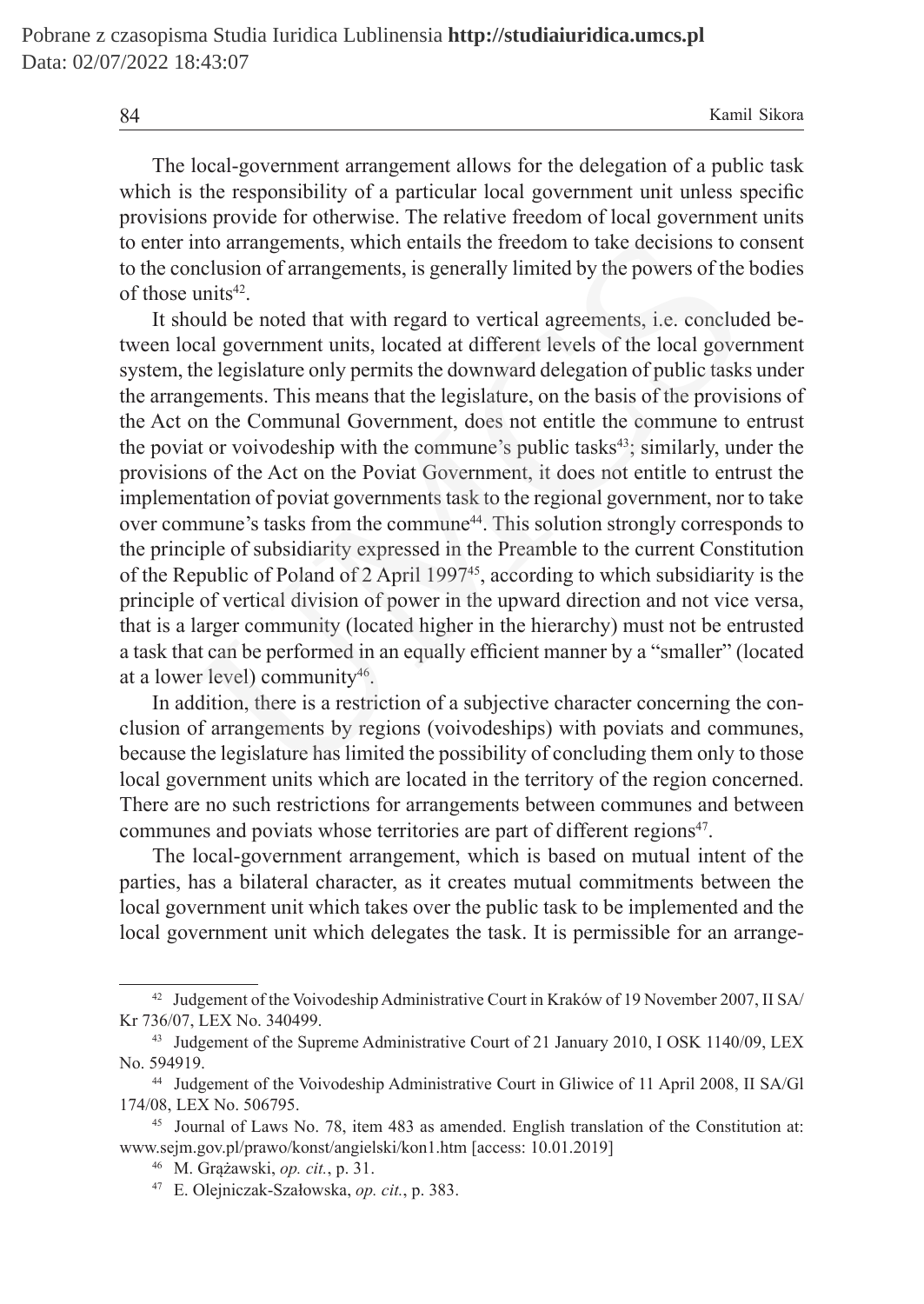The local-government arrangement allows for the delegation of a public task which is the responsibility of a particular local government unit unless specific provisions provide for otherwise. The relative freedom of local government units to enter into arrangements, which entails the freedom to take decisions to consent to the conclusion of arrangements, is generally limited by the powers of the bodies of those units<sup>42</sup>.

It should be noted that with regard to vertical agreements, i.e. concluded between local government units, located at different levels of the local government system, the legislature only permits the downward delegation of public tasks under the arrangements. This means that the legislature, on the basis of the provisions of the Act on the Communal Government, does not entitle the commune to entrust the poviat or voivodeship with the commune's public tasks<sup>43</sup>; similarly, under the provisions of the Act on the Poviat Government, it does not entitle to entrust the implementation of poviat governments task to the regional government, nor to take over commune's tasks from the commune<sup>44</sup>. This solution strongly corresponds to the principle of subsidiarity expressed in the Preamble to the current Constitution of the Republic of Poland of 2 April 1997<sup>45</sup>, according to which subsidiarity is the principle of vertical division of power in the upward direction and not vice versa, that is a larger community (located higher in the hierarchy) must not be entrusted a task that can be performed in an equally efficient manner by a "smaller" (located at a lower level) community $46$ . into arrangements, which entails the freedom to take decisions to conclusion of arrangements, is generally limited by the powers of the units<sup>42</sup>.<br>
units<sup>42</sup>.<br>
units<sup>42</sup>.<br>
units<sup>42</sup>.<br>
conclud be noted that with regard to v

In addition, there is a restriction of a subjective character concerning the conclusion of arrangements by regions (voivodeships) with poviats and communes, because the legislature has limited the possibility of concluding them only to those local government units which are located in the territory of the region concerned. There are no such restrictions for arrangements between communes and between communes and poviats whose territories are part of different regions<sup>47</sup>.

The local-government arrangement, which is based on mutual intent of the parties, has a bilateral character, as it creates mutual commitments between the local government unit which takes over the public task to be implemented and the local government unit which delegates the task. It is permissible for an arrange-

<sup>42</sup> Judgement of the Voivodeship Administrative Court in Kraków of 19 November 2007, II SA/ Kr 736/07, LEX No. 340499.

<sup>&</sup>lt;sup>43</sup> Judgement of the Supreme Administrative Court of 21 January 2010, I OSK 1140/09, LEX No. 594919.

<sup>44</sup> Judgement of the Voivodeship Administrative Court in Gliwice of 11 April 2008, II SA/Gl 174/08, LEX No. 506795.

<sup>45</sup> Journal of Laws No. 78, item 483 as amended. English translation of the Constitution at: www.sejm.gov.pl/prawo/konst/angielski/kon1.htm [access: 10.01.2019]

<sup>46</sup> M. Grążawski, *op. cit.*, p. 31.

<sup>47</sup> E. Olejniczak-Szałowska, *op. cit.*, p. 383.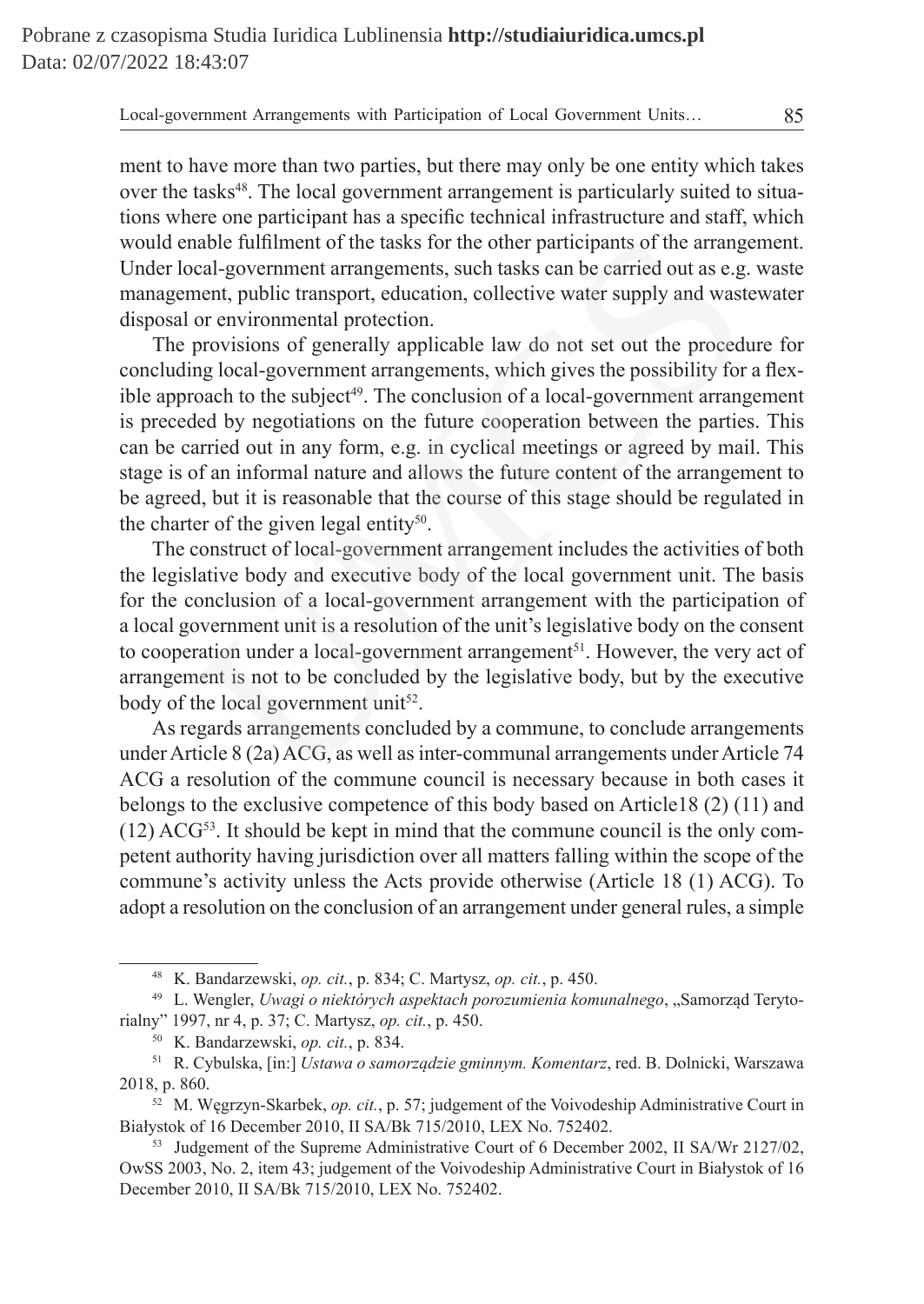ment to have more than two parties, but there may only be one entity which takes over the tasks<sup>48</sup>. The local government arrangement is particularly suited to situations where one participant has a specific technical infrastructure and staff, which would enable fulfilment of the tasks for the other participants of the arrangement. Under local-government arrangements, such tasks can be carried out as e.g. waste management, public transport, education, collective water supply and wastewater disposal or environmental protection.

The provisions of generally applicable law do not set out the procedure for concluding local-government arrangements, which gives the possibility for a flexible approach to the subject<sup>49</sup>. The conclusion of a local-government arrangement is preceded by negotiations on the future cooperation between the parties. This can be carried out in any form, e.g. in cyclical meetings or agreed by mail. This stage is of an informal nature and allows the future content of the arrangement to be agreed, but it is reasonable that the course of this stage should be regulated in the charter of the given legal entity<sup>50</sup>. nable fulfilment of the tasks for the other participants of the arrangeal-government arrangements, such tasks can be carried out as e.g. nent, public transport, education, collective water supply and wast or environmental

The construct of local-government arrangement includes the activities of both the legislative body and executive body of the local government unit. The basis for the conclusion of a local-government arrangement with the participation of a local government unit is a resolution of the unit's legislative body on the consent to cooperation under a local-government arrangement<sup>51</sup>. However, the very act of arrangement is not to be concluded by the legislative body, but by the executive body of the local government unit<sup>52</sup>.

As regards arrangements concluded by a commune, to conclude arrangements under Article 8 (2a) ACG, as well as inter-communal arrangements under Article 74 ACG a resolution of the commune council is necessary because in both cases it belongs to the exclusive competence of this body based on Article18 (2) (11) and  $(12)$  ACG<sup>53</sup>. It should be kept in mind that the commune council is the only competent authority having jurisdiction over all matters falling within the scope of the commune's activity unless the Acts provide otherwise (Article 18 (1) ACG). To adopt a resolution on the conclusion of an arrangement under general rules, a simple

<sup>48</sup> K. Bandarzewski, *op. cit.*, p. 834; C. Martysz, *op. cit.*, p. 450.

<sup>&</sup>lt;sup>49</sup> L. Wengler, *Uwagi o niektórych aspektach porozumienia komunalnego*, "Samorząd Terytorialny" 1997, nr 4, p. 37; C. Martysz, *op. cit.*, p. 450.

<sup>50</sup> K. Bandarzewski, *op. cit.*, p. 834.

<sup>51</sup> R. Cybulska, [in:] *Ustawa o samorządzie gminnym. Komentarz*, red. B. Dolnicki, Warszawa 2018, p. 860.

<sup>52</sup> M. Węgrzyn-Skarbek, *op. cit.*, p. 57; judgement of the Voivodeship Administrative Court in Białystok of 16 December 2010, II SA/Bk 715/2010, LEX No. 752402.

<sup>&</sup>lt;sup>53</sup> Judgement of the Supreme Administrative Court of 6 December 2002, II SA/Wr 2127/02, OwSS 2003, No. 2, item 43; judgement of the Voivodeship Administrative Court in Białystok of 16 December 2010, II SA/Bk 715/2010, LEX No. 752402.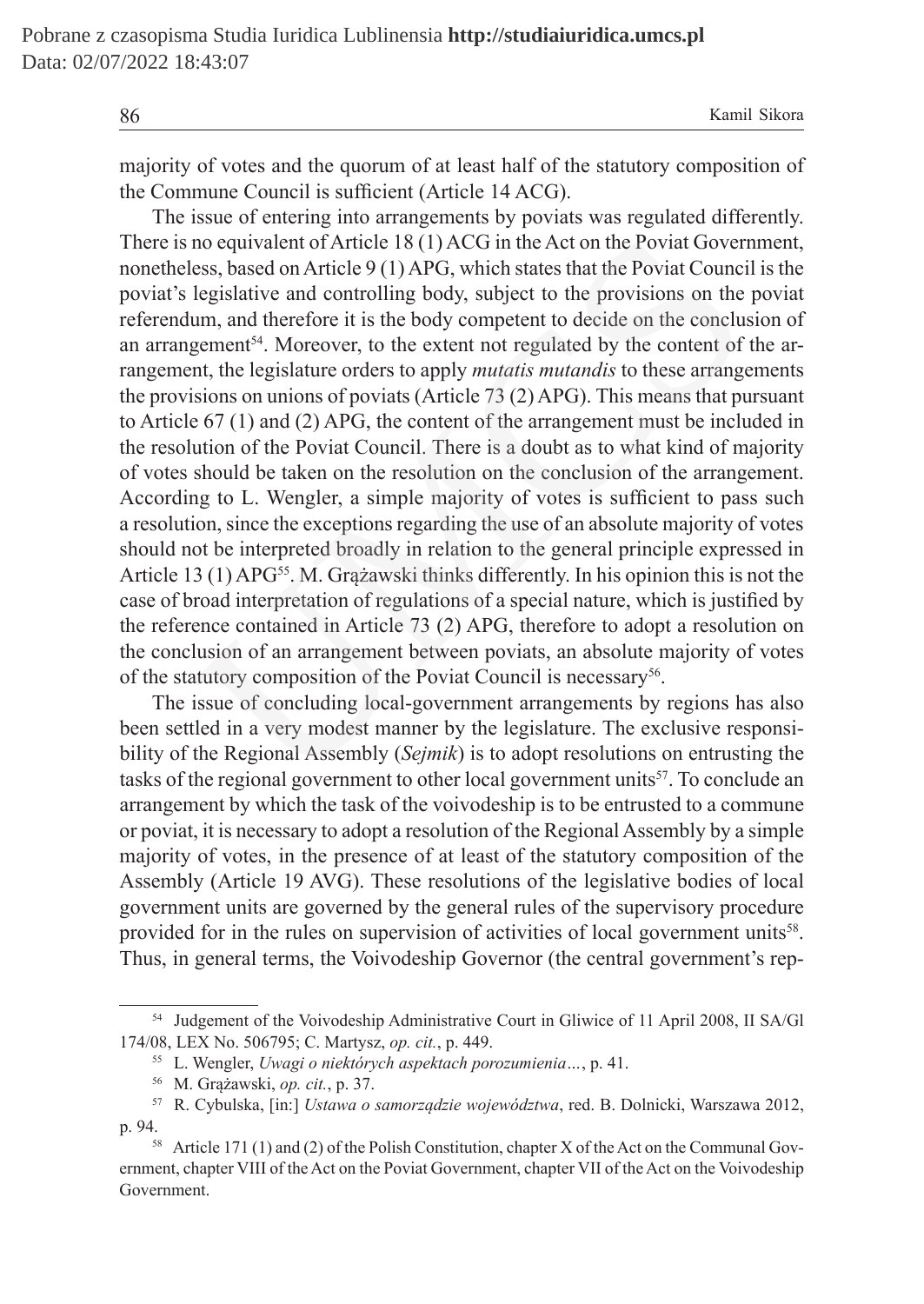majority of votes and the quorum of at least half of the statutory composition of the Commune Council is sufficient (Article 14 ACG).

The issue of entering into arrangements by poviats was regulated differently. There is no equivalent of Article 18 (1) ACG in the Act on the Poviat Government, nonetheless, based on Article 9 (1) APG, which states that the Poviat Council is the poviat's legislative and controlling body, subject to the provisions on the poviat referendum, and therefore it is the body competent to decide on the conclusion of an arrangement<sup>54</sup>. Moreover, to the extent not regulated by the content of the arrangement, the legislature orders to apply *mutatis mutandis* to these arrangements the provisions on unions of poviats (Article 73 (2) APG). This means that pursuant to Article 67 (1) and (2) APG, the content of the arrangement must be included in the resolution of the Poviat Council. There is a doubt as to what kind of majority of votes should be taken on the resolution on the conclusion of the arrangement. According to L. Wengler, a simple majority of votes is sufficient to pass such a resolution, since the exceptions regarding the use of an absolute majority of votes should not be interpreted broadly in relation to the general principle expressed in Article 13 (1) APG<sup>55</sup>. M. Grążawski thinks differently. In his opinion this is not the case of broad interpretation of regulations of a special nature, which is justified by the reference contained in Article 73 (2) APG, therefore to adopt a resolution on the conclusion of an arrangement between poviats, an absolute majority of votes of the statutory composition of the Poviat Council is necessary<sup>56</sup>. no equivalent of Article 18 (1) ACG in the Act on the Poviat Govern<br>ess, based on Article 9 (1) APG, which states that the Poviat Counci<br>legislative and controlling body, subject to the provisions on the<br>um, and therefore

The issue of concluding local-government arrangements by regions has also been settled in a very modest manner by the legislature. The exclusive responsibility of the Regional Assembly (*Sejmik*) is to adopt resolutions on entrusting the tasks of the regional government to other local government units<sup>57</sup>. To conclude an arrangement by which the task of the voivodeship is to be entrusted to a commune or poviat, it is necessary to adopt a resolution of the Regional Assembly by a simple majority of votes, in the presence of at least of the statutory composition of the Assembly (Article 19 AVG). These resolutions of the legislative bodies of local government units are governed by the general rules of the supervisory procedure provided for in the rules on supervision of activities of local government units<sup>58</sup>. Thus, in general terms, the Voivodeship Governor (the central government's rep-

<sup>54</sup> Judgement of the Voivodeship Administrative Court in Gliwice of 11 April 2008, II SA/Gl 174/08, LEX No. 506795; C. Martysz, *op. cit.*, p. 449.

<sup>55</sup> L. Wengler, *Uwagi o niektórych aspektach porozumienia…*, p. 41.

<sup>56</sup> M. Grążawski, *op. cit.*, p. 37.

<sup>57</sup> R. Cybulska, [in:] *Ustawa o samorządzie województwa*, red. B. Dolnicki, Warszawa 2012, p. 94.

<sup>58</sup> Article 171 (1) and (2) of the Polish Constitution, chapter X of the Act on the Communal Government, chapter VIII of the Act on the Poviat Government, chapter VII of the Act on the Voivodeship Government.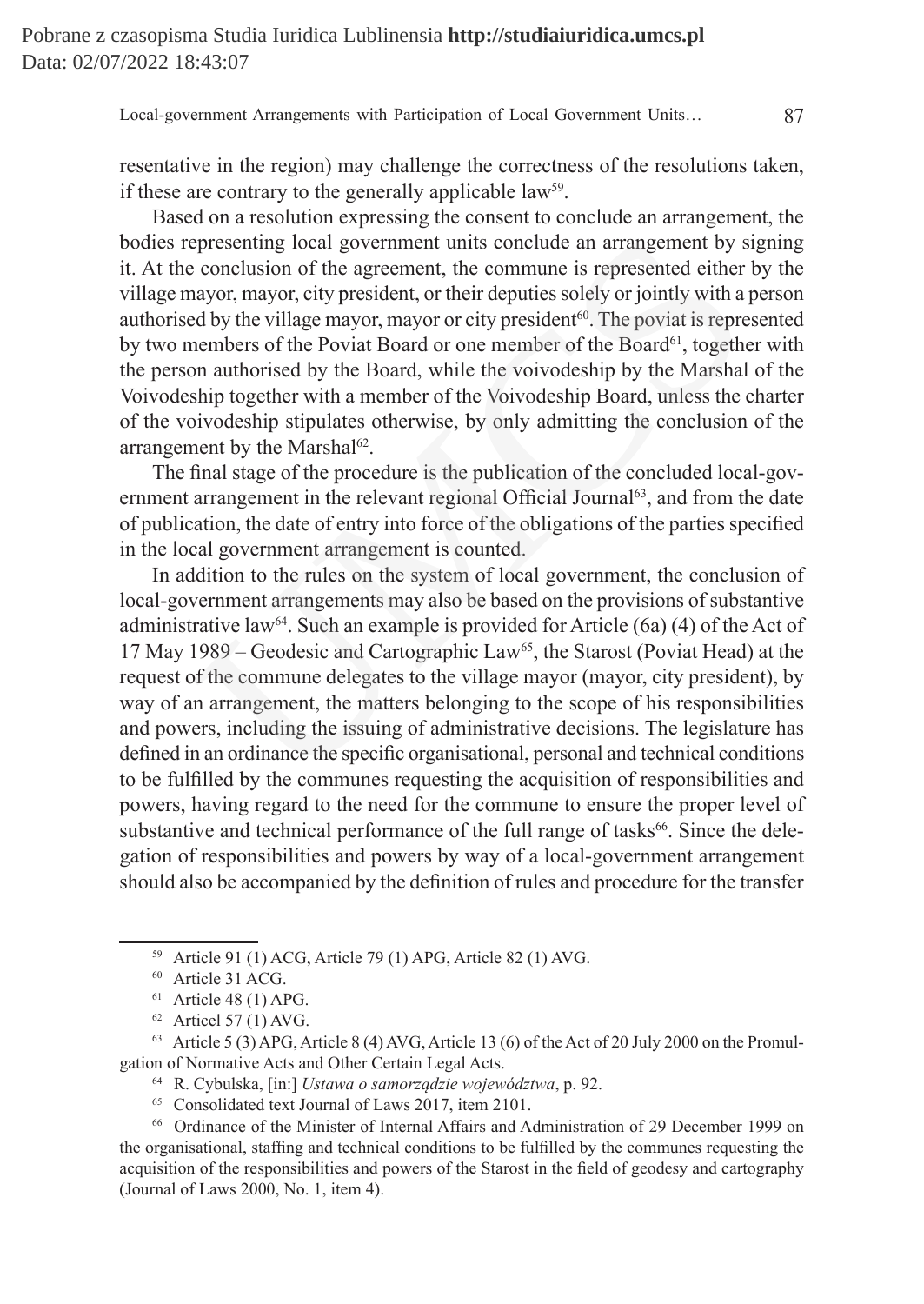resentative in the region) may challenge the correctness of the resolutions taken, if these are contrary to the generally applicable law<sup>59</sup>.

Based on a resolution expressing the consent to conclude an arrangement, the bodies representing local government units conclude an arrangement by signing it. At the conclusion of the agreement, the commune is represented either by the village mayor, mayor, city president, or their deputies solely or jointly with a person authorised by the village mayor, mayor or city president<sup>60</sup>. The poviat is represented by two members of the Poviat Board or one member of the Board<sup>61</sup>, together with the person authorised by the Board, while the voivodeship by the Marshal of the Voivodeship together with a member of the Voivodeship Board, unless the charter of the voivodeship stipulates otherwise, by only admitting the conclusion of the arrangement by the Marshal<sup>62</sup>.

The final stage of the procedure is the publication of the concluded local-government arrangement in the relevant regional Official Journal<sup>63</sup>, and from the date of publication, the date of entry into force of the obligations of the parties specified in the local government arrangement is counted.

In addition to the rules on the system of local government, the conclusion of local-government arrangements may also be based on the provisions of substantive administrative law<sup>64</sup>. Such an example is provided for Article (6a) (4) of the Act of 17 May 1989 – Geodesic and Cartographic Law<sup>65</sup>, the Starost (Poviat Head) at the request of the commune delegates to the village mayor (mayor, city president), by way of an arrangement, the matters belonging to the scope of his responsibilities and powers, including the issuing of administrative decisions. The legislature has defined in an ordinance the specific organisational, personal and technical conditions to be fulfilled by the communes requesting the acquisition of responsibilities and powers, having regard to the need for the commune to ensure the proper level of substantive and technical performance of the full range of tasks<sup>66</sup>. Since the delegation of responsibilities and powers by way of a local-government arrangement should also be accompanied by the definition of rules and procedure for the transfer presenting local government units conclude an arrangement by s<br>conclusion of the agreement, the commune is represented either<br>adoty, mayor, city president, or their deputies solely or jointly with a<br>dely the village mayor,

<sup>65</sup> Consolidated text Journal of Laws 2017, item 2101.

<sup>66</sup> Ordinance of the Minister of Internal Affairs and Administration of 29 December 1999 on the organisational, staffing and technical conditions to be fulfilled by the communes requesting the acquisition of the responsibilities and powers of the Starost in the field of geodesy and cartography (Journal of Laws 2000, No. 1, item 4).

<sup>59</sup> Article 91 (1) ACG, Article 79 (1) APG, Article 82 (1) AVG.

<sup>60</sup> Article 31 ACG.

 $61$  Article 48 (1) APG.

 $62$  Articel 57 (1) AVG.

 $63$  Article 5 (3) APG, Article 8 (4) AVG, Article 13 (6) of the Act of 20 July 2000 on the Promulgation of Normative Acts and Other Certain Legal Acts.

<sup>64</sup> R. Cybulska, [in:] *Ustawa o samorządzie województwa*, p. 92.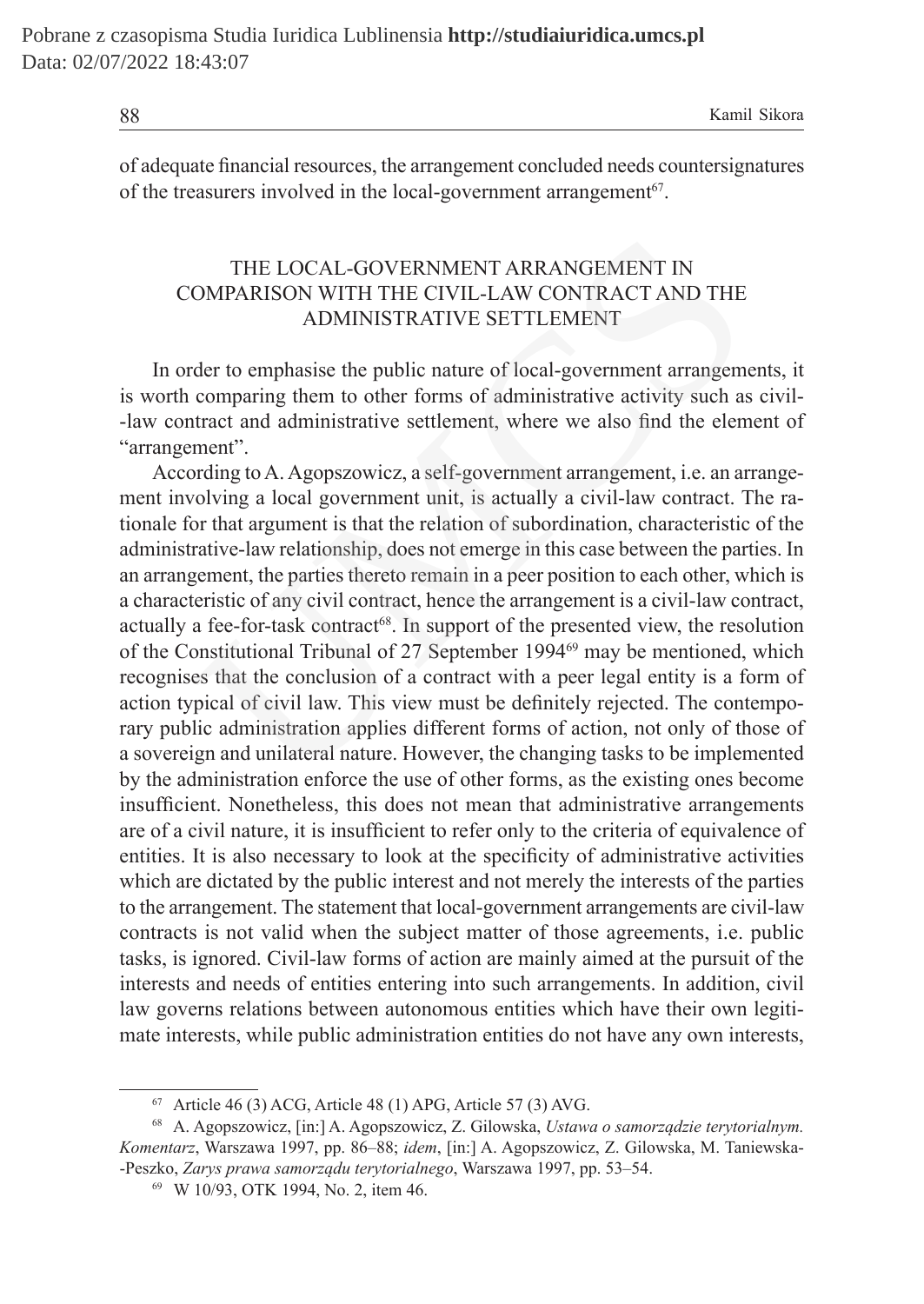of adequate financial resources, the arrangement concluded needs countersignatures of the treasurers involved in the local-government arrangement<sup>67</sup>.

# THE LOCAL-GOVERNMENT ARRANGEMENT IN COMPARISON WITH THE CIVIL-LAW CONTRACT AND THE ADMINISTRATIVE SETTLEMENT

In order to emphasise the public nature of local-government arrangements, it is worth comparing them to other forms of administrative activity such as civil- -law contract and administrative settlement, where we also find the element of "arrangement".

According to A. Agopszowicz, a self-government arrangement, i.e. an arrangement involving a local government unit, is actually a civil-law contract. The rationale for that argument is that the relation of subordination, characteristic of the administrative-law relationship, does not emerge in this case between the parties. In an arrangement, the parties thereto remain in a peer position to each other, which is a characteristic of any civil contract, hence the arrangement is a civil-law contract, actually a fee-for-task contract<sup>68</sup>. In support of the presented view, the resolution of the Constitutional Tribunal of 27 September 1994<sup>69</sup> may be mentioned, which recognises that the conclusion of a contract with a peer legal entity is a form of action typical of civil law. This view must be definitely rejected. The contemporary public administration applies different forms of action, not only of those of a sovereign and unilateral nature. However, the changing tasks to be implemented by the administration enforce the use of other forms, as the existing ones become insufficient. Nonetheless, this does not mean that administrative arrangements are of a civil nature, it is insufficient to refer only to the criteria of equivalence of entities. It is also necessary to look at the specificity of administrative activities which are dictated by the public interest and not merely the interests of the parties to the arrangement. The statement that local-government arrangements are civil-law contracts is not valid when the subject matter of those agreements, i.e. public tasks, is ignored. Civil-law forms of action are mainly aimed at the pursuit of the interests and needs of entities entering into such arrangements. In addition, civil law governs relations between autonomous entities which have their own legitimate interests, while public administration entities do not have any own interests, THE LOCAL-GOVERNMENT ARRANGEMENT IN<br>
OMPARISON WITH THE CIVIL-LAW CONTRACT AND THE<br>
ADMINISTRATIVE SETTLEMENT<br>
der to emphasise the public nature of local-government arrangem<br>
comparing them to other forms of administrativ

 $67$  Article 46 (3) ACG, Article 48 (1) APG, Article 57 (3) AVG.

<sup>68</sup> A. Agopszowicz, [in:] A. Agopszowicz, Z. Gilowska, *Ustawa o samorządzie terytorialnym. Komentarz*, Warszawa 1997, pp. 86–88; *idem*, [in:] A. Agopszowicz, Z. Gilowska, M. Taniewska- -Peszko, *Zarys prawa samorządu terytorialnego*, Warszawa 1997, pp. 53–54.

<sup>69</sup> W 10/93, OTK 1994, No. 2, item 46.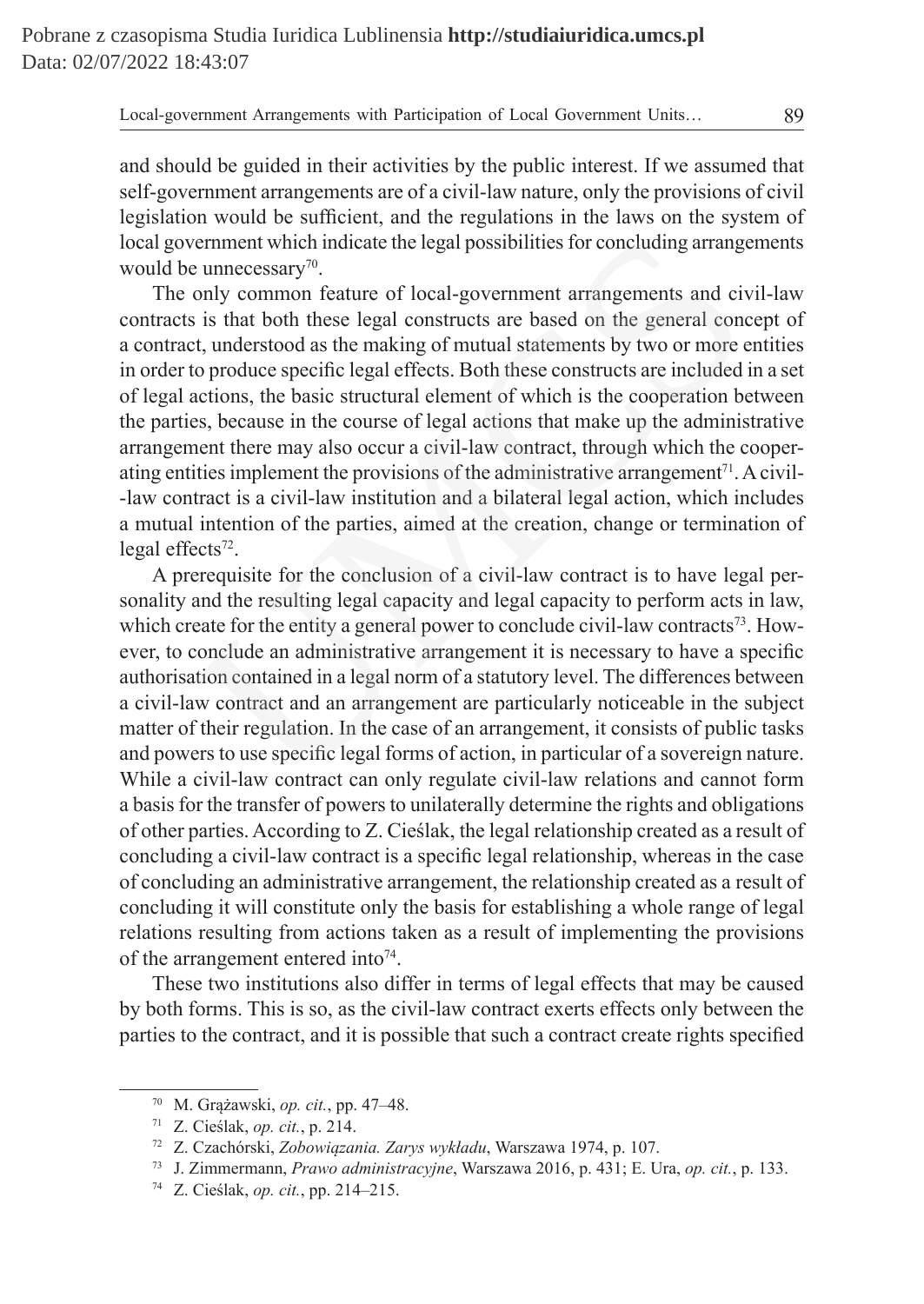and should be guided in their activities by the public interest. If we assumed that self-government arrangements are of a civil-law nature, only the provisions of civil legislation would be sufficient, and the regulations in the laws on the system of local government which indicate the legal possibilities for concluding arrangements would be unnecessary<sup>70</sup>.

The only common feature of local-government arrangements and civil-law contracts is that both these legal constructs are based on the general concept of a contract, understood as the making of mutual statements by two or more entities in order to produce specific legal effects. Both these constructs are included in a set of legal actions, the basic structural element of which is the cooperation between the parties, because in the course of legal actions that make up the administrative arrangement there may also occur a civil-law contract, through which the cooperating entities implement the provisions of the administrative arrangement<sup>71</sup>. Acivil- -law contract is a civil-law institution and a bilateral legal action, which includes a mutual intention of the parties, aimed at the creation, change or termination of legal effects $72$ . vernment which indicate the legal possibilities for concluding arrange<br>e unnecessary<sup>70</sup>.<br>only common feature of local-government arrangements and cis<br>is is that both these legal constructs are based on the general con<br>et,

A prerequisite for the conclusion of a civil-law contract is to have legal personality and the resulting legal capacity and legal capacity to perform acts in law, which create for the entity a general power to conclude civil-law contracts<sup>73</sup>. However, to conclude an administrative arrangement it is necessary to have a specific authorisation contained in a legal norm of a statutory level. The differences between a civil-law contract and an arrangement are particularly noticeable in the subject matter of their regulation. In the case of an arrangement, it consists of public tasks and powers to use specific legal forms of action, in particular of a sovereign nature. While a civil-law contract can only regulate civil-law relations and cannot form a basis for the transfer of powers to unilaterally determine the rights and obligations of other parties. According to Z. Cieślak, the legal relationship created as a result of concluding a civil-law contract is a specific legal relationship, whereas in the case of concluding an administrative arrangement, the relationship created as a result of concluding it will constitute only the basis for establishing a whole range of legal relations resulting from actions taken as a result of implementing the provisions of the arrangement entered into<sup>74</sup>.

These two institutions also differ in terms of legal effects that may be caused by both forms. This is so, as the civil-law contract exerts effects only between the parties to the contract, and it is possible that such a contract create rights specified

<sup>70</sup> M. Grążawski, *op. cit.*, pp. 47–48.

<sup>71</sup> Z. Cieślak, *op. cit.*, p. 214.

<sup>72</sup> Z. Czachórski, *Zobowiązania. Zarys wykładu*, Warszawa 1974, p. 107.

<sup>73</sup> J. Zimmermann, *Prawo administracyjne*, Warszawa 2016, p. 431; E. Ura, *op. cit.*, p. 133.

<sup>74</sup> Z. Cieślak, *op. cit.*, pp. 214–215.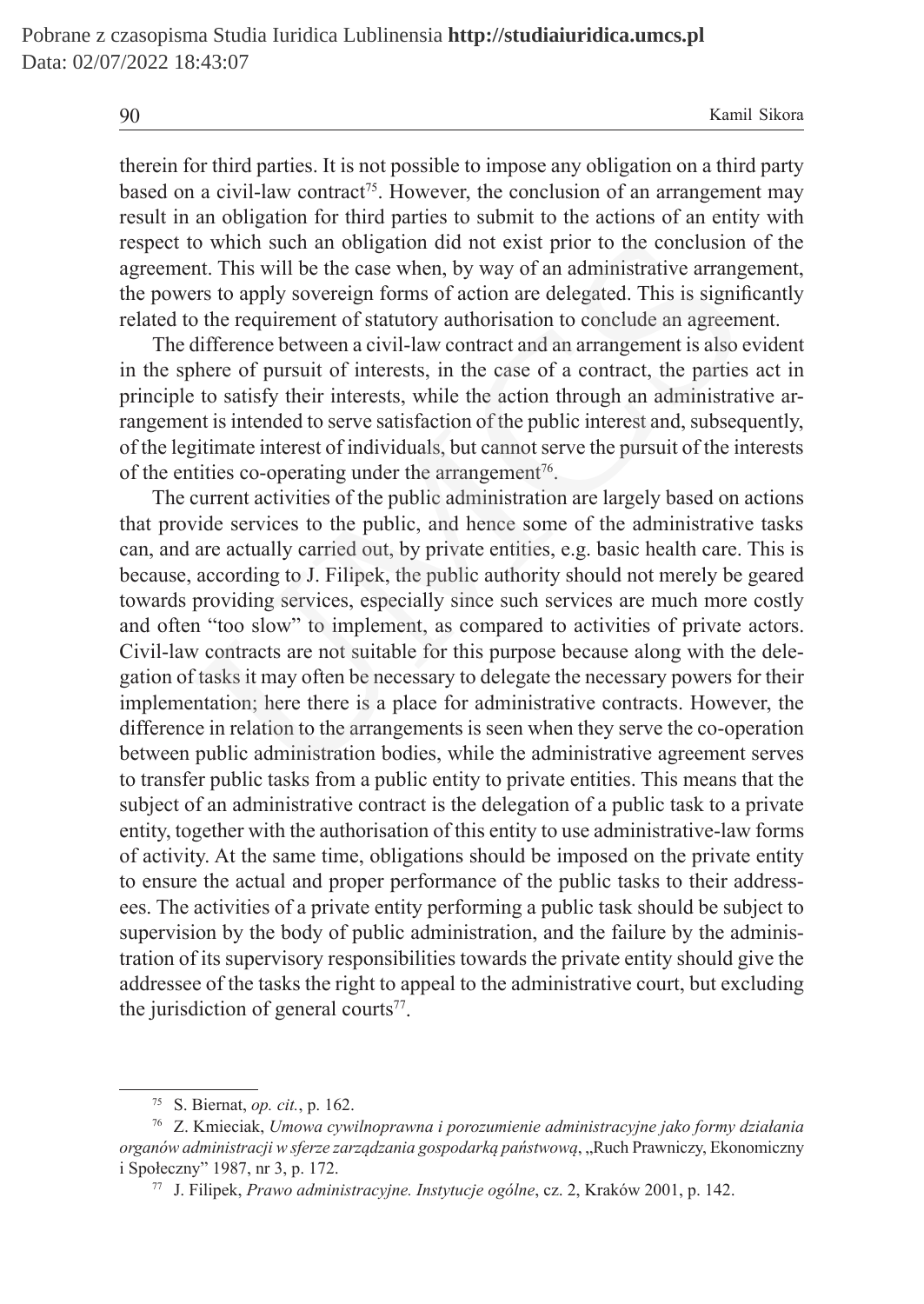therein for third parties. It is not possible to impose any obligation on a third party based on a civil-law contract<sup>75</sup>. However, the conclusion of an arrangement may result in an obligation for third parties to submit to the actions of an entity with respect to which such an obligation did not exist prior to the conclusion of the agreement. This will be the case when, by way of an administrative arrangement, the powers to apply sovereign forms of action are delegated. This is significantly related to the requirement of statutory authorisation to conclude an agreement.

The difference between a civil-law contract and an arrangement is also evident in the sphere of pursuit of interests, in the case of a contract, the parties act in principle to satisfy their interests, while the action through an administrative arrangement is intended to serve satisfaction of the public interest and, subsequently, of the legitimate interest of individuals, but cannot serve the pursuit of the interests of the entities co-operating under the arrangement<sup>76</sup>.

The current activities of the public administration are largely based on actions that provide services to the public, and hence some of the administrative tasks can, and are actually carried out, by private entities, e.g. basic health care. This is because, according to J. Filipek, the public authority should not merely be geared towards providing services, especially since such services are much more costly and often "too slow" to implement, as compared to activities of private actors. Civil-law contracts are not suitable for this purpose because along with the delegation of tasks it may often be necessary to delegate the necessary powers for their implementation; here there is a place for administrative contracts. However, the difference in relation to the arrangements is seen when they serve the co-operation between public administration bodies, while the administrative agreement serves to transfer public tasks from a public entity to private entities. This means that the subject of an administrative contract is the delegation of a public task to a private entity, together with the authorisation of this entity to use administrative-law forms of activity. At the same time, obligations should be imposed on the private entity to ensure the actual and proper performance of the public tasks to their addressees. The activities of a private entity performing a public task should be subject to supervision by the body of public administration, and the failure by the administration of its supervisory responsibilities towards the private entity should give the addressee of the tasks the right to appeal to the administrative court, but excluding the jurisdiction of general courts<sup>77</sup>. o which such an obligation did not exist prior to the conclusion<br>th. This will be the case when, by way of an administrative arrang<br>ers to apply sovereign forms of action are delegated. This is signif<br>of the requirement of

<sup>75</sup> S. Biernat, *op. cit.*, p. 162.

<sup>76</sup> Z. Kmieciak, *Umowa cywilnoprawna i porozumienie administracyjne jako formy działania organów administracji w sferze zarządzania gospodarką państwową*, "Ruch Prawniczy, Ekonomiczny i Społeczny" 1987, nr 3, p. 172.

<sup>77</sup> J. Filipek, *Prawo administracyjne. Instytucje ogólne*, cz. 2, Kraków 2001, p. 142.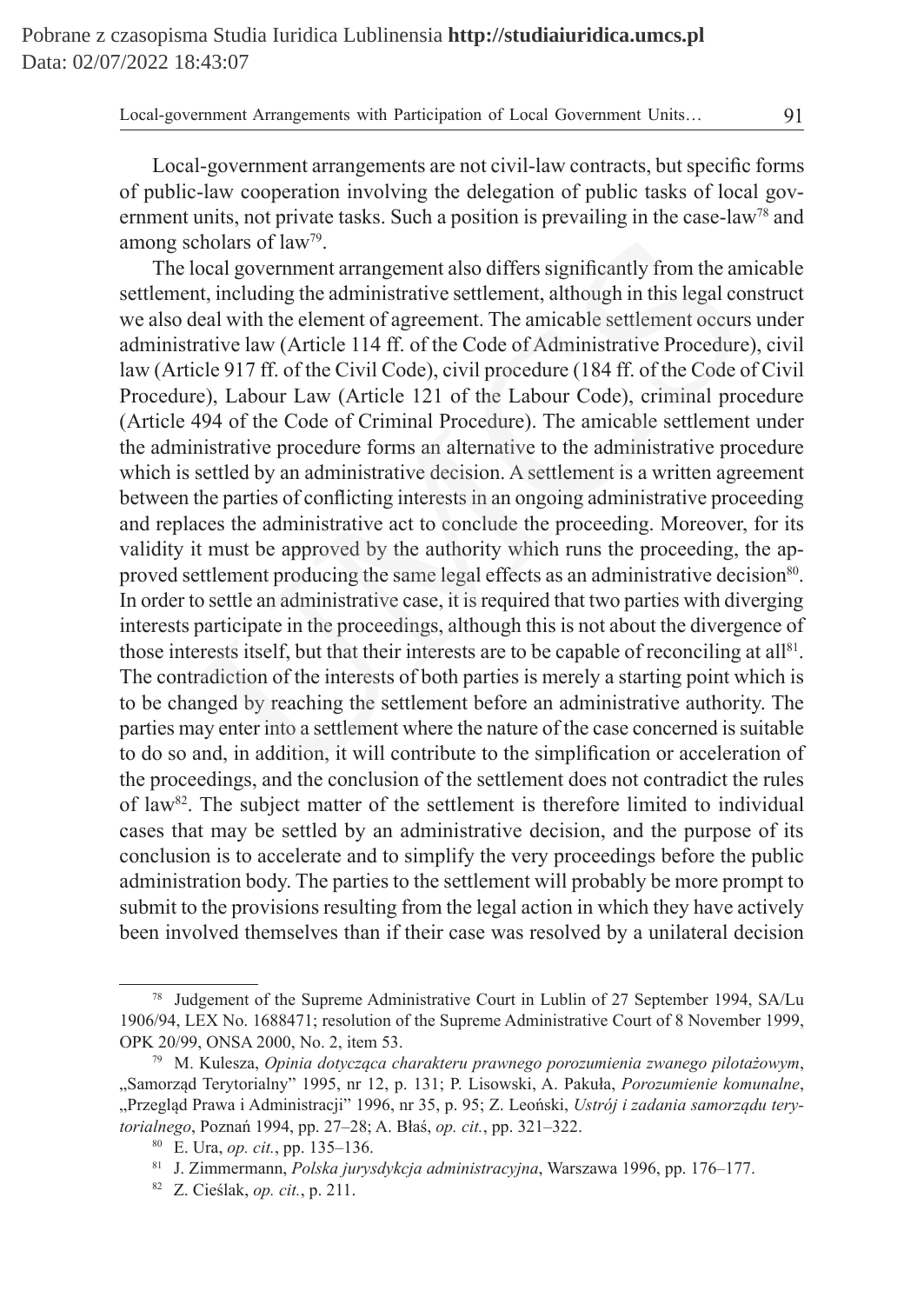Local-government arrangements are not civil-law contracts, but specific forms of public-law cooperation involving the delegation of public tasks of local government units, not private tasks. Such a position is prevailing in the case-law<sup>78</sup> and among scholars of law79.

The local government arrangement also differs significantly from the amicable settlement, including the administrative settlement, although in this legal construct we also deal with the element of agreement. The amicable settlement occurs under administrative law (Article 114 ff. of the Code of Administrative Procedure), civil law (Article 917 ff. of the Civil Code), civil procedure (184 ff. of the Code of Civil Procedure), Labour Law (Article 121 of the Labour Code), criminal procedure (Article 494 of the Code of Criminal Procedure). The amicable settlement under the administrative procedure forms an alternative to the administrative procedure which is settled by an administrative decision. A settlement is a written agreement between the parties of conflicting interests in an ongoing administrative proceeding and replaces the administrative act to conclude the proceeding. Moreover, for its validity it must be approved by the authority which runs the proceeding, the approved settlement producing the same legal effects as an administrative decision<sup>80</sup>. In order to settle an administrative case, it is required that two parties with diverging interests participate in the proceedings, although this is not about the divergence of those interests itself, but that their interests are to be capable of reconciling at all<sup>81</sup>. The contradiction of the interests of both parties is merely a starting point which is to be changed by reaching the settlement before an administrative authority. The parties may enter into a settlement where the nature of the case concerned is suitable to do so and, in addition, it will contribute to the simplification or acceleration of the proceedings, and the conclusion of the settlement does not contradict the rules of law<sup>82</sup>. The subject matter of the settlement is therefore limited to individual cases that may be settled by an administrative decision, and the purpose of its conclusion is to accelerate and to simplify the very proceedings before the public administration body. The parties to the settlement will probably be more prompt to submit to the provisions resulting from the legal action in which they have actively been involved themselves than if their case was resolved by a unilateral decision cholars of law<sup>79</sup>.<br>
local government arrangement also differs significantly from the am<br>
th, including the administrative settlement, although in this legal co<br>
teleal with the element of agreement. The amicable settlemen

<sup>78</sup> Judgement of the Supreme Administrative Court in Lublin of 27 September 1994, SA/Lu 1906/94, LEX No. 1688471; resolution of the Supreme Administrative Court of 8 November 1999, OPK 20/99, ONSA 2000, No. 2, item 53.

<sup>79</sup> M. Kulesza, *Opinia dotycząca charakteru prawnego porozumienia zwanego pilotażowym*, "Samorząd Terytorialny" 1995, nr 12, p. 131; P. Lisowski, A. Pakuła, *Porozumienie komunalne*, "Przegląd Prawa i Administracji" 1996, nr 35, p. 95; Z. Leoński, *Ustrój i zadania samorządu terytorialnego*, Poznań 1994, pp. 27–28; A. Błaś, *op. cit.*, pp. 321–322.

<sup>80</sup> E. Ura, *op. cit.*, pp. 135–136.

<sup>81</sup> J. Zimmermann, *Polska jurysdykcja administracyjna*, Warszawa 1996, pp. 176–177.

<sup>82</sup> Z. Cieślak, *op. cit.*, p. 211.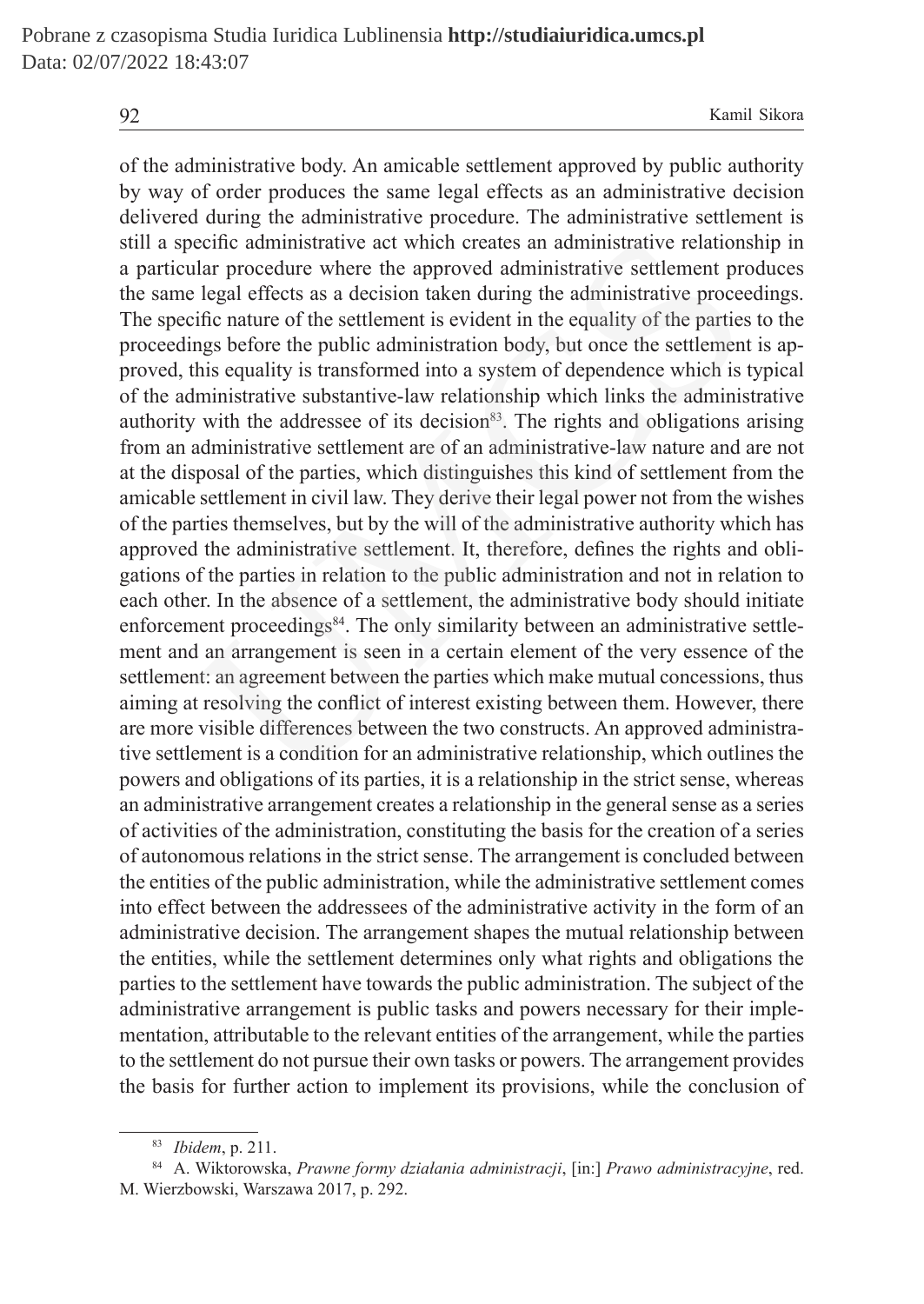of the administrative body. An amicable settlement approved by public authority by way of order produces the same legal effects as an administrative decision delivered during the administrative procedure. The administrative settlement is still a specific administrative act which creates an administrative relationship in a particular procedure where the approved administrative settlement produces the same legal effects as a decision taken during the administrative proceedings. The specific nature of the settlement is evident in the equality of the parties to the proceedings before the public administration body, but once the settlement is approved, this equality is transformed into a system of dependence which is typical of the administrative substantive-law relationship which links the administrative authority with the addressee of its decision<sup>83</sup>. The rights and obligations arising from an administrative settlement are of an administrative-law nature and are not at the disposal of the parties, which distinguishes this kind of settlement from the amicable settlement in civil law. They derive their legal power not from the wishes of the parties themselves, but by the will of the administrative authority which has approved the administrative settlement. It, therefore, defines the rights and obligations of the parties in relation to the public administration and not in relation to each other. In the absence of a settlement, the administrative body should initiate enforcement proceedings<sup>84</sup>. The only similarity between an administrative settlement and an arrangement is seen in a certain element of the very essence of the settlement: an agreement between the parties which make mutual concessions, thus aiming at resolving the conflict of interest existing between them. However, there are more visible differences between the two constructs. An approved administrative settlement is a condition for an administrative relationship, which outlines the powers and obligations of its parties, it is a relationship in the strict sense, whereas an administrative arrangement creates a relationship in the general sense as a series of activities of the administration, constituting the basis for the creation of a series of autonomous relations in the strict sense. The arrangement is concluded between the entities of the public administration, while the administrative settlement comes into effect between the addressees of the administrative activity in the form of an administrative decision. The arrangement shapes the mutual relationship between the entities, while the settlement determines only what rights and obligations the parties to the settlement have towards the public administration. The subject of the administrative arrangement is public tasks and powers necessary for their implementation, attributable to the relevant entities of the arrangement, while the parties to the settlement do not pursue their own tasks or powers. The arrangement provides the basis for further action to implement its provisions, while the conclusion of ecific administrative act which creates an administrative relations<br>lar procedure where the approved administrative settlement pre<br>lign affects as a decision taken during the administrative procees<br>ific nature of the settl

<sup>83</sup> *Ibidem*, p. 211.

<sup>84</sup> A. Wiktorowska, *Prawne formy działania administracji*, [in:] *Prawo administracyjne*, red. M. Wierzbowski, Warszawa 2017, p. 292.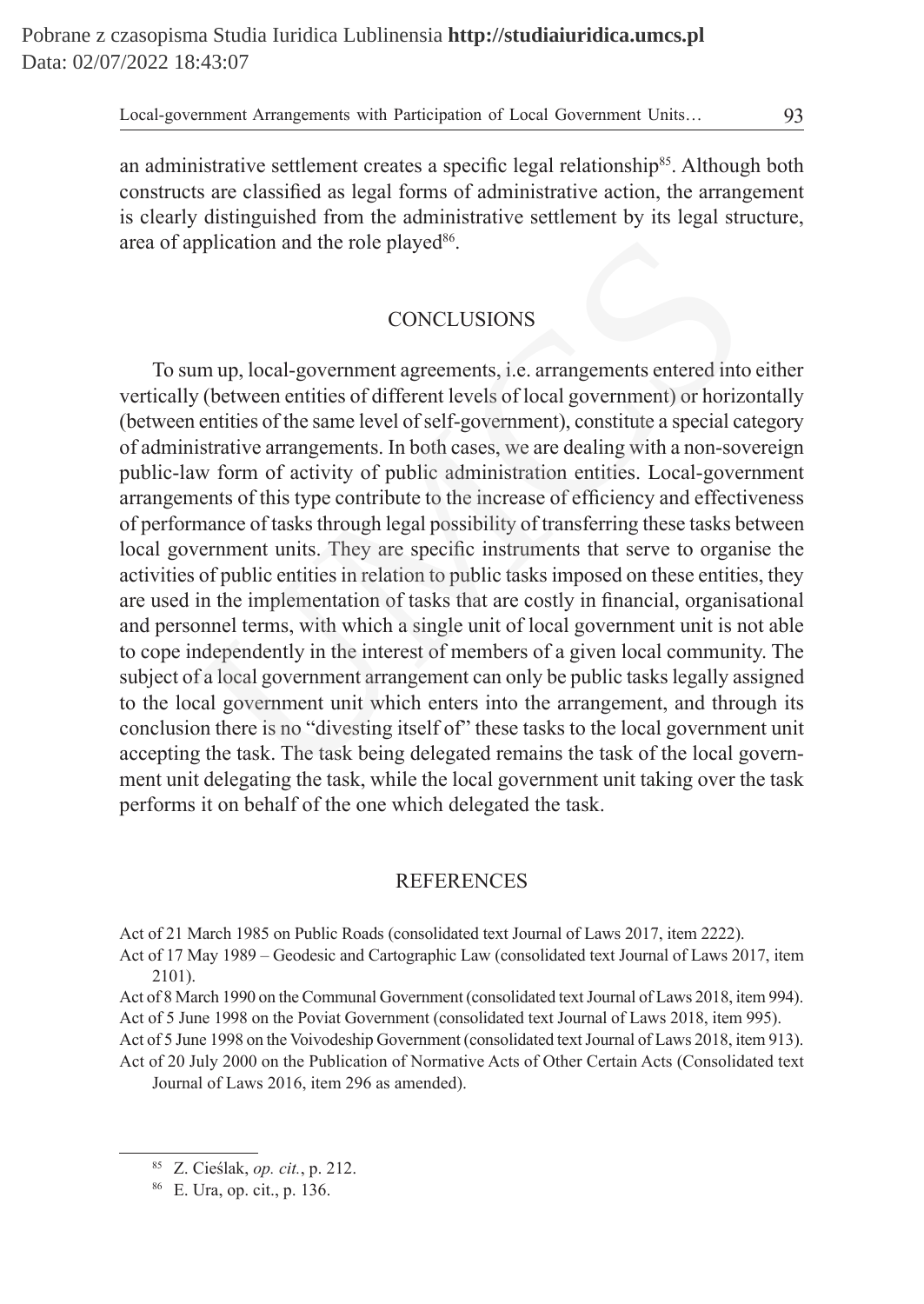an administrative settlement creates a specific legal relationship<sup>85</sup>. Although both constructs are classified as legal forms of administrative action, the arrangement is clearly distinguished from the administrative settlement by its legal structure, area of application and the role played<sup>86</sup>.

# **CONCLUSIONS**

To sum up, local-government agreements, i.e. arrangements entered into either vertically (between entities of different levels of local government) or horizontally (between entities of the same level of self-government), constitute a special category of administrative arrangements. In both cases, we are dealing with a non-sovereign public-law form of activity of public administration entities. Local-government arrangements of this type contribute to the increase of efficiency and effectiveness of performance of tasks through legal possibility of transferring these tasks between local government units. They are specific instruments that serve to organise the activities of public entities in relation to public tasks imposed on these entities, they are used in the implementation of tasks that are costly in financial, organisational and personnel terms, with which a single unit of local government unit is not able to cope independently in the interest of members of a given local community. The subject of a local government arrangement can only be public tasks legally assigned to the local government unit which enters into the arrangement, and through its conclusion there is no "divesting itself of" these tasks to the local government unit accepting the task. The task being delegated remains the task of the local government unit delegating the task, while the local government unit taking over the task performs it on behalf of the one which delegated the task. pplication and the role played<sup>86</sup>.<br>CONCLUSIONS<br>Transpose that the role played<sup>86</sup>.<br>Unity (between entities of different levels of local government) or horize<br>entities of the same level of self-government), constitute a sp

## **REFERENCES**

Act of 21 March 1985 on Public Roads (consolidated text Journal of Laws 2017, item 2222).

Act of 17 May 1989 – Geodesic and Cartographic Law (consolidated text Journal of Laws 2017, item 2101).

Act of 8 March 1990 on the Communal Government (consolidated text Journal of Laws 2018, item 994). Act of 5 June 1998 on the Poviat Government (consolidated text Journal of Laws 2018, item 995).

Act of 5 June 1998 on the Voivodeship Government (consolidated text Journal of Laws 2018, item 913).

Act of 20 July 2000 on the Publication of Normative Acts of Other Certain Acts (Consolidated text Journal of Laws 2016, item 296 as amended).

<sup>85</sup> Z. Cieślak, *op. cit.*, p. 212.

<sup>86</sup> E. Ura, op. cit., p. 136.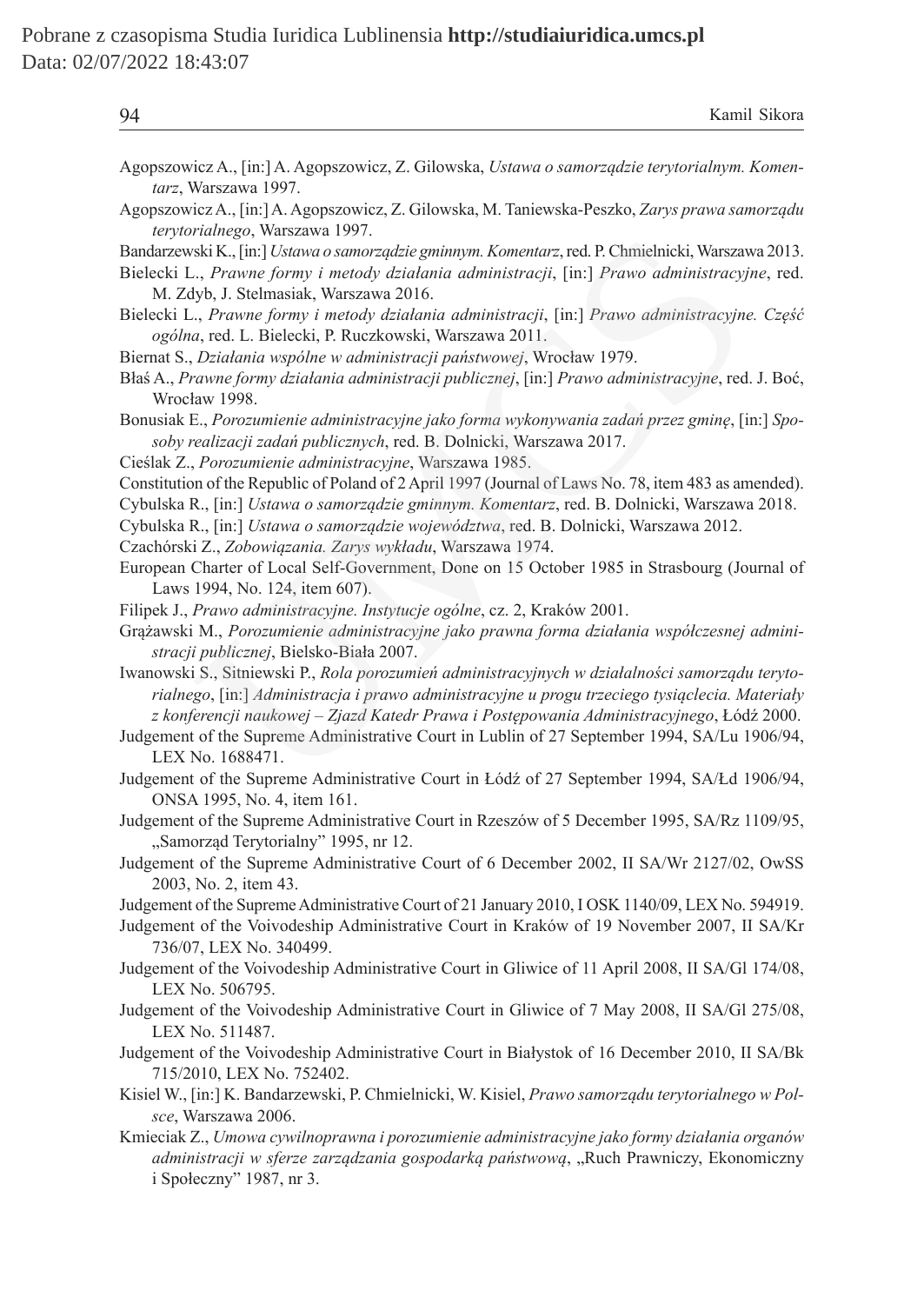| Kamil Sikora<br>94                                                                                                                                                                                                                                                                                                                                                                            |  |
|-----------------------------------------------------------------------------------------------------------------------------------------------------------------------------------------------------------------------------------------------------------------------------------------------------------------------------------------------------------------------------------------------|--|
| Agopszowicz A., [in:] A. Agopszowicz, Z. Gilowska, Ustawa o samorządzie terytorialnym. Komen-<br>tarz, Warszawa 1997.                                                                                                                                                                                                                                                                         |  |
| Agopszowicz A., [in:] A. Agopszowicz, Z. Gilowska, M. Taniewska-Peszko, Zarys prawa samorządu<br>terytorialnego, Warszawa 1997.                                                                                                                                                                                                                                                               |  |
| Bandarzewski K., [in:] Ustawa o samorządzie gminnym. Komentarz, red. P. Chmielnicki, Warszawa 2013.<br>Bielecki L., Prawne formy i metody działania administracji, [in:] Prawo administracyjne, red.<br>M. Zdyb, J. Stelmasiak, Warszawa 2016.                                                                                                                                                |  |
| Bielecki L., Prawne formy i metody działania administracji, [in:] Prawo administracyjne. Część<br>ogólna, red. L. Bielecki, P. Ruczkowski, Warszawa 2011.                                                                                                                                                                                                                                     |  |
| Biernat S., Działania wspólne w administracji państwowej, Wrocław 1979.<br>Błaś A., Prawne formy działania administracji publicznej, [in:] Prawo administracyjne, red. J. Boć,<br>Wrocław 1998.                                                                                                                                                                                               |  |
| Bonusiak E., Porozumienie administracyjne jako forma wykonywania zadań przez gminę, [in:] Spo-<br>soby realizacji zadań publicznych, red. B. Dolnicki, Warszawa 2017.<br>Cieślak Z., Porozumienie administracyjne, Warszawa 1985.                                                                                                                                                             |  |
| Constitution of the Republic of Poland of 2 April 1997 (Journal of Laws No. 78, item 483 as amended).<br>Cybulska R., [in:] Ustawa o samorządzie gminnym. Komentarz, red. B. Dolnicki, Warszawa 2018.<br>Cybulska R., [in:] Ustawa o samorządzie województwa, red. B. Dolnicki, Warszawa 2012.<br>Czachórski Z., Zobowiązania. Zarys wykładu, Warszawa 1974.                                  |  |
| European Charter of Local Self-Government, Done on 15 October 1985 in Strasbourg (Journal of<br>Laws 1994, No. 124, item 607).                                                                                                                                                                                                                                                                |  |
| Filipek J., Prawo administracyjne. Instytucje ogólne, cz. 2, Kraków 2001.<br>Grążawski M., Porozumienie administracyjne jako prawna forma działania współczesnej admini-<br>stracji publicznej, Bielsko-Biała 2007.                                                                                                                                                                           |  |
| Iwanowski S., Sitniewski P., Rola porozumień administracyjnych w działalności samorządu teryto-<br>rialnego, [in:] Administracja i prawo administracyjne u progu trzeciego tysiąclecia. Materiały<br>z konferencji naukowej - Zjazd Katedr Prawa i Postępowania Administracyjnego, Łódź 2000.<br>Judgement of the Supreme Administrative Court in Lublin of 27 September 1994, SA/Lu 1906/94, |  |
| LEX No. 1688471.<br>Judgement of the Supreme Administrative Court in Łódź of 27 September 1994, SA/Łd 1906/94,<br>ONSA 1995, No. 4, item 161.                                                                                                                                                                                                                                                 |  |
| Judgement of the Supreme Administrative Court in Rzeszów of 5 December 1995, SA/Rz 1109/95,<br>"Samorząd Terytorialny" 1995, nr 12.                                                                                                                                                                                                                                                           |  |
| Judgement of the Supreme Administrative Court of 6 December 2002, II SA/Wr 2127/02, OwSS<br>2003, No. 2, item 43.                                                                                                                                                                                                                                                                             |  |
| Judgement of the Supreme Administrative Court of 21 January 2010, I OSK 1140/09, LEX No. 594919.<br>Judgement of the Voivodeship Administrative Court in Kraków of 19 November 2007, II SA/Kr<br>736/07, LEX No. 340499.                                                                                                                                                                      |  |
| Judgement of the Voivodeship Administrative Court in Gliwice of 11 April 2008, II SA/Gl 174/08,<br>LEX No. 506795.                                                                                                                                                                                                                                                                            |  |
| Judgement of the Voivodeship Administrative Court in Gliwice of 7 May 2008, II SA/Gl 275/08,<br>LEX No. 511487.                                                                                                                                                                                                                                                                               |  |
| Judgement of the Voivodeship Administrative Court in Białystok of 16 December 2010, II SA/Bk<br>715/2010, LEX No. 752402.                                                                                                                                                                                                                                                                     |  |
| Kisiel W., [in:] K. Bandarzewski, P. Chmielnicki, W. Kisiel, Prawo samorządu terytorialnego w Pol-<br>sce, Warszawa 2006.                                                                                                                                                                                                                                                                     |  |
| Kmieciak Z., Umowa cywilnoprawna i porozumienie administracyjne jako formy działania organów<br>administracji w sferze zarządzania gospodarką państwową, "Ruch Prawniczy, Ekonomiczny<br>i Społeczny" 1987, nr 3.                                                                                                                                                                             |  |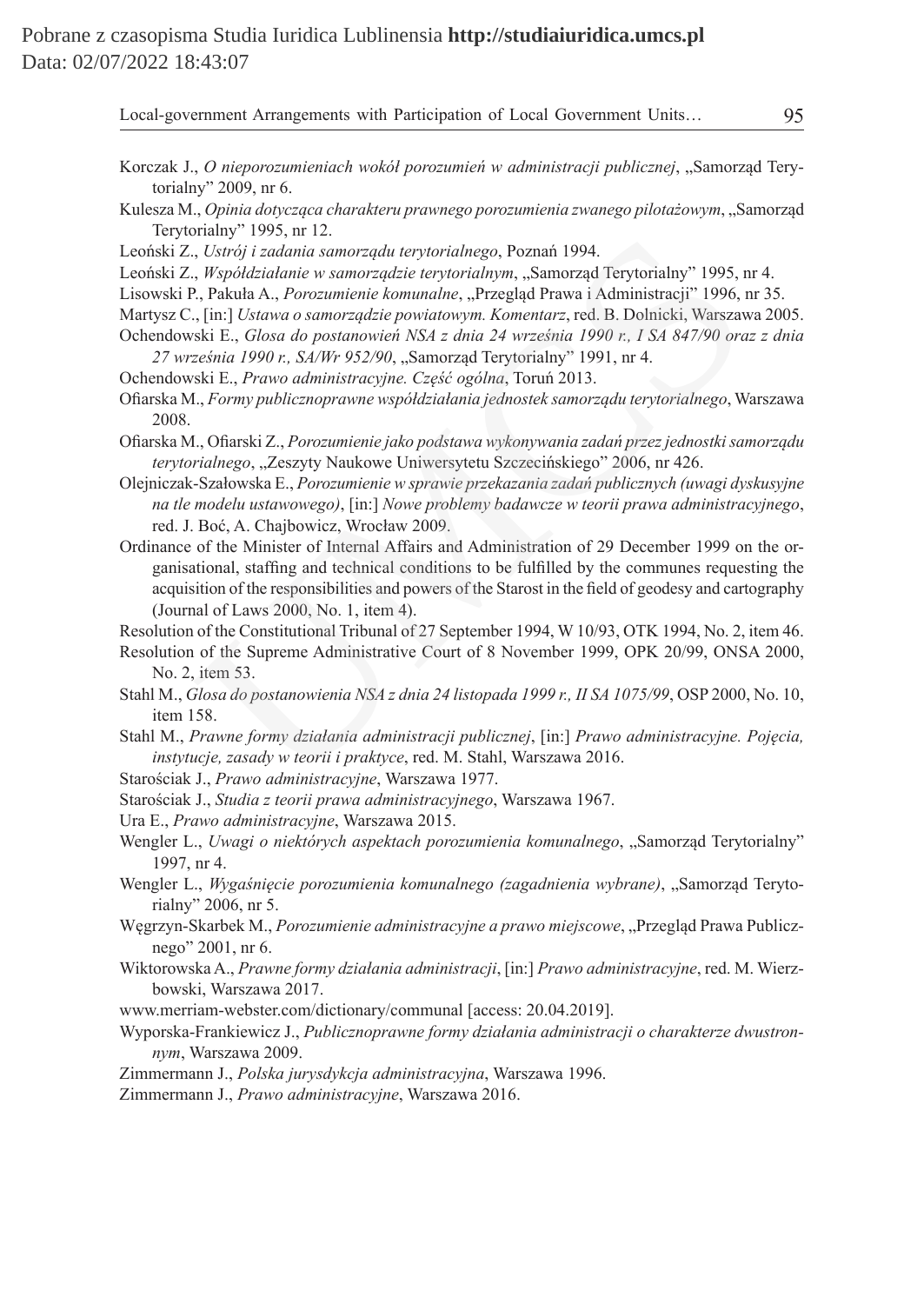- Korczak J., *O nieporozumieniach wokół porozumień w administracji publicznej*, "Samorząd Terytorialny" 2009, nr 6.
- Kulesza M., *Opinia dotycząca charakteru prawnego porozumienia zwanego pilotażowym*, "Samorząd Terytorialny" 1995, nr 12.
- Leoński Z., *Ustrój i zadania samorządu terytorialnego*, Poznań 1994.
- Leoński Z., *Współdziałanie w samorządzie terytorialnym*, "Samorząd Terytorialny" 1995, nr 4.
- Lisowski P., Pakuła A., *Porozumienie komunalne*, "Przegląd Prawa i Administracji" 1996, nr 35.
- Martysz C., [in:] *Ustawa o samorządzie powiatowym. Komentarz*, red. B. Dolnicki, Warszawa 2005.
- Ochendowski E., *Glosa do postanowień NSA z dnia 24 września 1990 r., I SA 847/90 oraz z dnia 27 września 1990 r., SA/Wr 952/90*, "Samorząd Terytorialny" 1991, nr 4.
- Ochendowski E., *Prawo administracyjne. Część ogólna*, Toruń 2013.
- Ofiarska M., *Formy publicznoprawne współdziałania jednostek samorządu terytorialnego*, Warszawa 2008.
- Ofiarska M., Ofiarski Z., *Porozumienie jako podstawa wykonywania zadań przez jednostki samorządu terytorialnego*, "Zeszyty Naukowe Uniwersytetu Szczecińskiego" 2006, nr 426.
- Olejniczak-Szałowska E., *Porozumienie w sprawie przekazania zadań publicznych (uwagi dyskusyjne na tle modelu ustawowego)*, [in:] *Nowe problemy badawcze w teorii prawa administracyjnego*, red. J. Boć, A. Chajbowicz, Wrocław 2009.
- Ordinance of the Minister of Internal Affairs and Administration of 29 December 1999 on the organisational, staffing and technical conditions to be fulfilled by the communes requesting the acquisition of the responsibilities and powers of the Starost in the field of geodesy and cartography (Journal of Laws 2000, No. 1, item 4). Manny 1993, ut 12.<br> *J. Ustráj i zadania samorządai terytorialnego*, Poznań 1994.<br> *J. Ustráj i zadania samorządzie terytorialnym*, "Samorząd Terytorialny" 1995, pakula A., *Prorozumienie komunalne*, "Przegłąd Prawa i Admi

Resolution of the Constitutional Tribunal of 27 September 1994, W 10/93, OTK 1994, No. 2, item 46.

- Resolution of the Supreme Administrative Court of 8 November 1999, OPK 20/99, ONSA 2000, No. 2, item 53.
- Stahl M., *Glosa do postanowienia NSA z dnia 24 listopada 1999 r., II SA 1075/99*, OSP 2000, No. 10, item 158.
- Stahl M., *Prawne formy działania administracji publicznej*, [in:] *Prawo administracyjne. Pojęcia, instytucje, zasady w teorii i praktyce*, red. M. Stahl, Warszawa 2016.

Starościak J., *Prawo administracyjne*, Warszawa 1977.

- Starościak J., *Studia z teorii prawa administracyjnego*, Warszawa 1967.
- Ura E., *Prawo administracyjne*, Warszawa 2015.
- Wengler L., *Uwagi o niektórych aspektach porozumienia komunalnego*, "Samorząd Terytorialny" 1997, nr 4.
- Wengler L., *Wygaśnięcie porozumienia komunalnego (zagadnienia wybrane)*, "Samorząd Terytorialny" 2006, nr 5.
- Węgrzyn-Skarbek M., *Porozumienie administracyjne a prawo miejscowe*, "Przegląd Prawa Publicznego" 2001, nr 6.
- Wiktorowska A., *Prawne formy działania administracji*, [in:] *Prawo administracyjne*, red. M. Wierzbowski, Warszawa 2017.
- www.merriam-webster.com/dictionary/communal [access: 20.04.2019].
- Wyporska-Frankiewicz J., *Publicznoprawne formy działania administracji o charakterze dwustronnym*, Warszawa 2009.
- Zimmermann J., *Polska jurysdykcja administracyjna*, Warszawa 1996.
- Zimmermann J., *Prawo administracyjne*, Warszawa 2016.